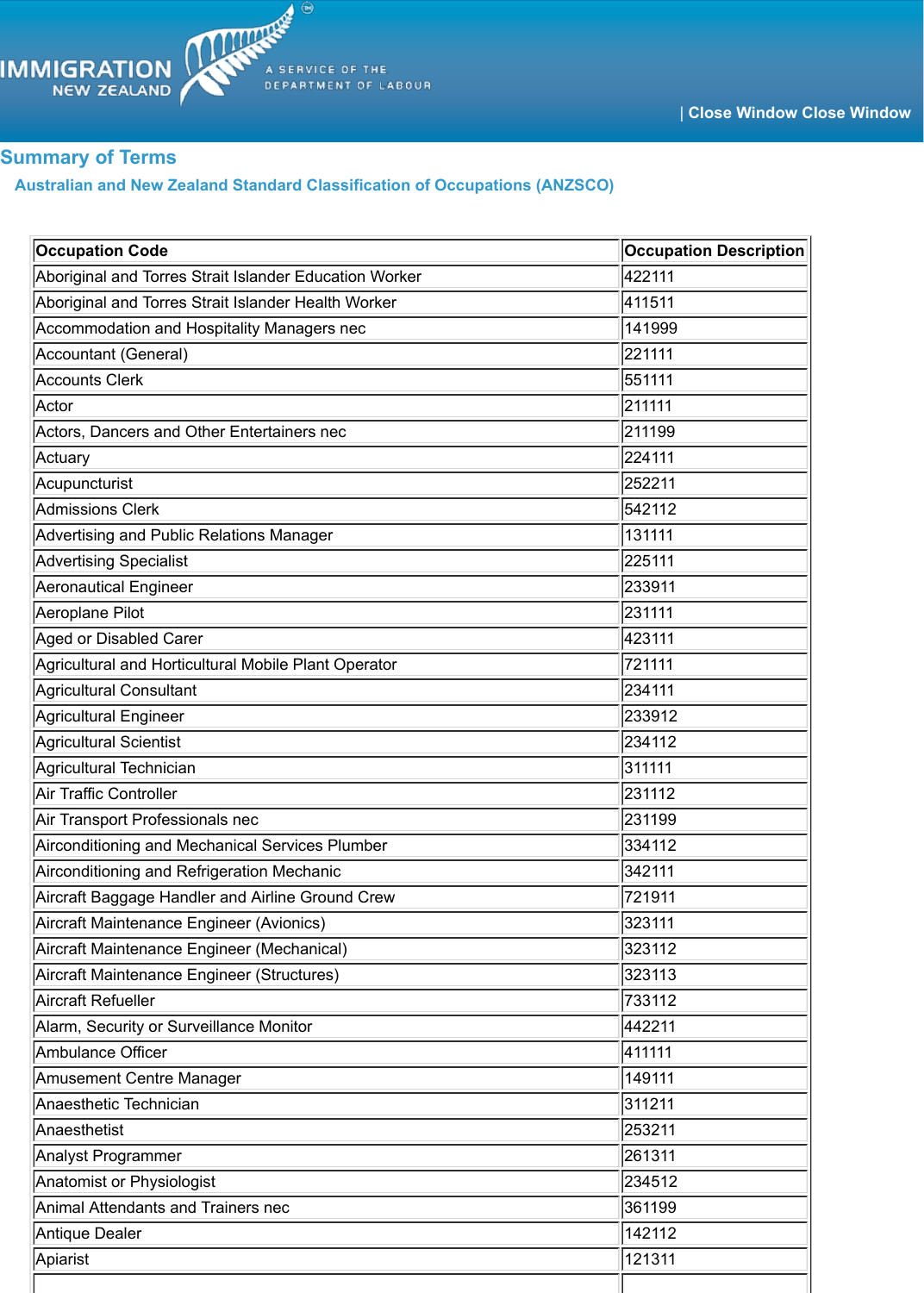| Accommodation and Hospitality Managers nec           | 141999 |
|------------------------------------------------------|--------|
| Accountant (General)                                 | 221111 |
| <b>Accounts Clerk</b>                                | 551111 |
| Actor                                                | 211111 |
| Actors, Dancers and Other Entertainers nec           | 211199 |
| Actuary                                              | 224111 |
| Acupuncturist                                        | 252211 |
| <b>Admissions Clerk</b>                              | 542112 |
| Advertising and Public Relations Manager             | 131111 |
| <b>Advertising Specialist</b>                        | 225111 |
| <b>Aeronautical Engineer</b>                         | 233911 |
| Aeroplane Pilot                                      | 231111 |
| Aged or Disabled Carer                               | 423111 |
| Agricultural and Horticultural Mobile Plant Operator | 721111 |
| <b>Agricultural Consultant</b>                       | 234111 |
| <b>Agricultural Engineer</b>                         | 233912 |
| <b>Agricultural Scientist</b>                        | 234112 |
| Agricultural Technician                              | 311111 |
| <b>Air Traffic Controller</b>                        | 231112 |
| Air Transport Professionals nec                      | 231199 |
| Airconditioning and Mechanical Services Plumber      | 334112 |
| Airconditioning and Refrigeration Mechanic           | 342111 |
| Aircraft Baggage Handler and Airline Ground Crew     | 721911 |
| Aircraft Maintenance Engineer (Avionics)             | 323111 |
| Aircraft Maintenance Engineer (Mechanical)           | 323112 |
| Aircraft Maintenance Engineer (Structures)           | 323113 |
| Aircraft Refueller                                   | 733112 |
| Alarm, Security or Surveillance Monitor              | 442211 |
| Ambulance Officer                                    | 411111 |
| <b>Amusement Centre Manager</b>                      | 149111 |
| Anaesthetic Technician                               | 311211 |
| Anaesthetist                                         | 253211 |
| <b>Analyst Programmer</b>                            | 261311 |
| Anatomist or Physiologist                            | 234512 |
| <b>Animal Attendants and Trainers nec</b>            | 361199 |
| <b>Antique Dealer</b>                                | 142112 |
| Apiarist                                             | 121311 |
|                                                      |        |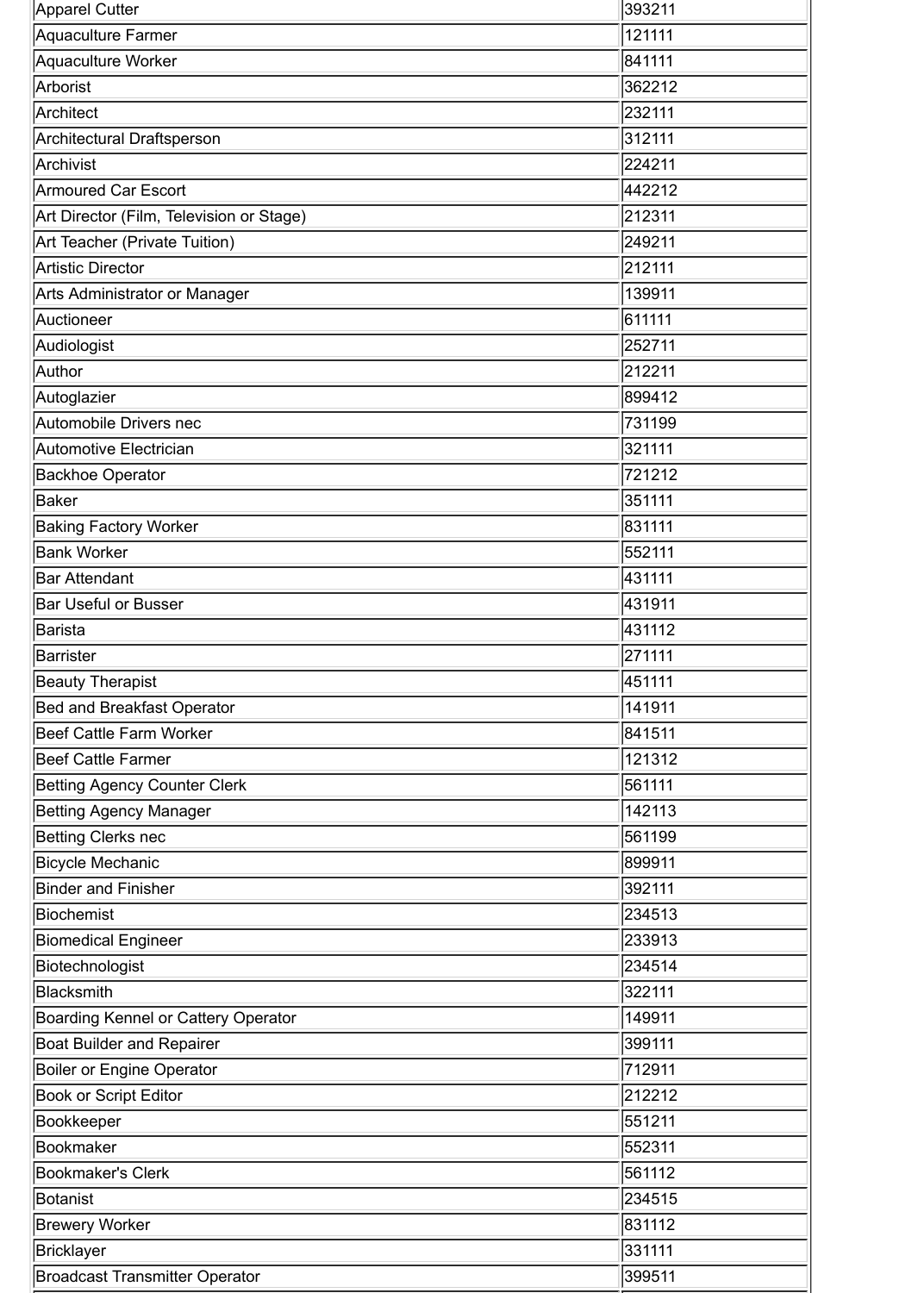| <b>Apparel Cutter</b>                    | 393211 |
|------------------------------------------|--------|
| Aquaculture Farmer                       | 121111 |
| Aquaculture Worker                       | 841111 |
| Arborist                                 | 362212 |
| Architect                                | 232111 |
| Architectural Draftsperson               | 312111 |
| Archivist                                | 224211 |
| <b>Armoured Car Escort</b>               | 442212 |
| Art Director (Film, Television or Stage) | 212311 |
| Art Teacher (Private Tuition)            | 249211 |
| <b>Artistic Director</b>                 | 212111 |
| <b>Arts Administrator or Manager</b>     | 139911 |
| Auctioneer                               | 611111 |
| Audiologist                              | 252711 |
| Author                                   | 212211 |
| Autoglazier                              | 899412 |
| Automobile Drivers nec                   | 731199 |
| <b>Automotive Electrician</b>            | 321111 |
| <b>Backhoe Operator</b>                  | 721212 |
| Baker                                    | 351111 |
| <b>Baking Factory Worker</b>             | 831111 |
| <b>Bank Worker</b>                       | 552111 |
| <b>Bar Attendant</b>                     | 431111 |
| <b>Bar Useful or Busser</b>              | 431911 |
| <b>Barista</b>                           | 431112 |
| <b>Barrister</b>                         | 271111 |
| <b>Beauty Therapist</b>                  | 451111 |
| <b>Bed and Breakfast Operator</b>        | 141911 |
| <b>Beef Cattle Farm Worker</b>           | 841511 |
| <b>Beef Cattle Farmer</b>                | 121312 |
| <b>Betting Agency Counter Clerk</b>      | 561111 |
| <b>Betting Agency Manager</b>            | 142113 |
| <b>Betting Clerks nec</b>                | 561199 |
| <b>Bicycle Mechanic</b>                  | 899911 |
| <b>Binder and Finisher</b>               | 392111 |
| Biochemist                               | 234513 |
| <b>Biomedical Engineer</b>               | 233913 |
| Biotechnologist                          | 234514 |
| <b>Blacksmith</b>                        | 322111 |
| Boarding Kennel or Cattery Operator      | 149911 |
| <b>Boat Builder and Repairer</b>         | 399111 |
| <b>Boiler or Engine Operator</b>         | 712911 |
| <b>Book or Script Editor</b>             | 212212 |
| Bookkeeper                               | 551211 |
| Bookmaker                                | 552311 |
| <b>Bookmaker's Clerk</b>                 | 561112 |
| Botanist                                 | 234515 |
| <b>Brewery Worker</b>                    | 831112 |
| <b>Bricklayer</b>                        | 331111 |
| <b>Broadcast Transmitter Operator</b>    | 399511 |
|                                          |        |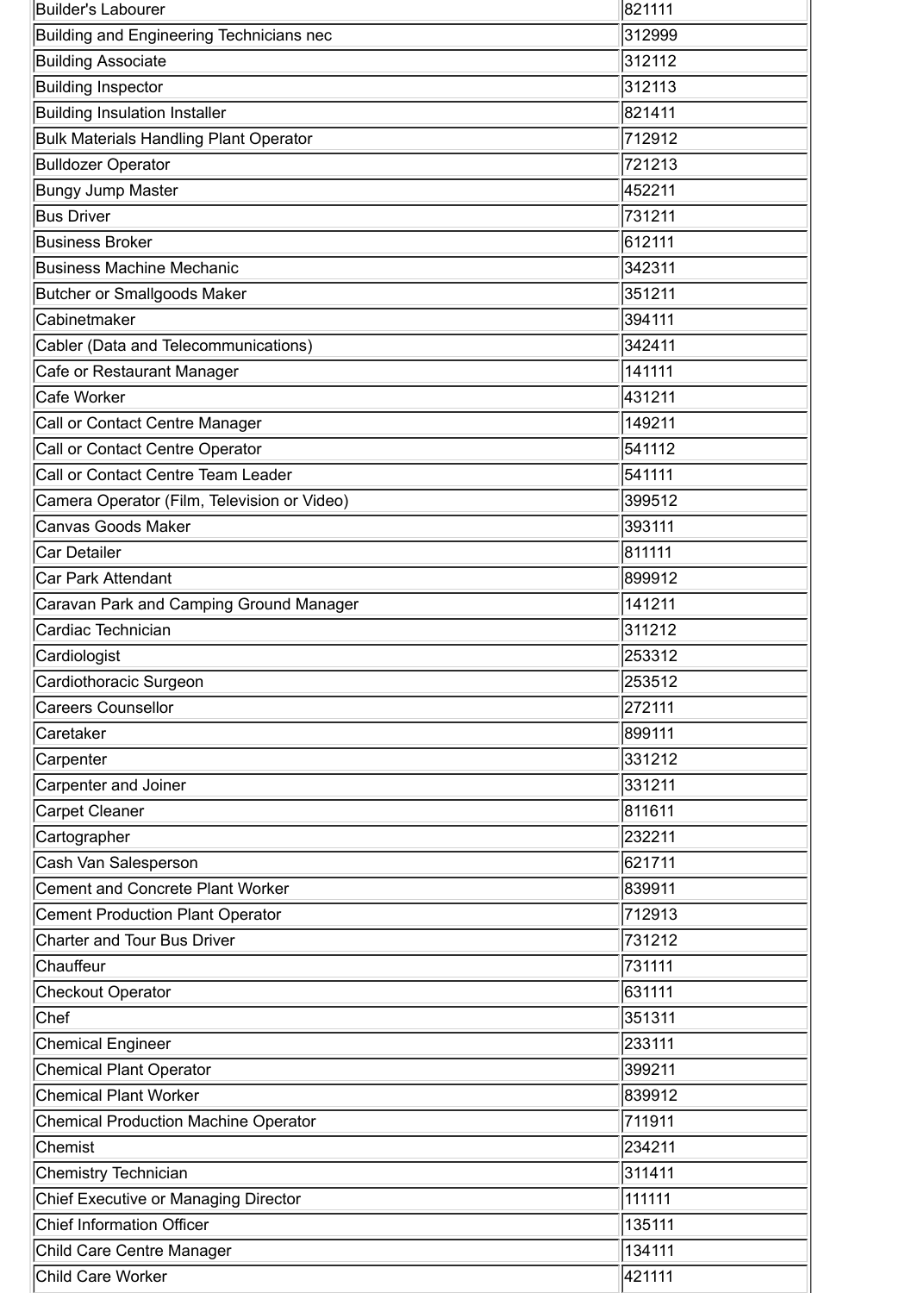| 312999<br><b>Building and Engineering Technicians nec</b><br>312112<br><b>Building Associate</b><br>312113<br><b>Building Inspector</b><br><b>Building Insulation Installer</b><br>821411<br><b>Bulk Materials Handling Plant Operator</b><br>712912<br><b>Bulldozer Operator</b><br>721213<br><b>Bungy Jump Master</b><br>452211<br><b>Bus Driver</b><br>731211<br>612111<br><b>Business Broker</b><br>342311<br><b>Business Machine Mechanic</b><br>351211<br><b>Butcher or Smallgoods Maker</b><br>Cabinetmaker<br>394111 <br>Cabler (Data and Telecommunications)<br>342411<br>Cafe or Restaurant Manager<br>141111<br>Cafe Worker<br>431211<br>149211<br><b>Call or Contact Centre Manager</b><br>541112<br>Call or Contact Centre Operator<br>Call or Contact Centre Team Leader<br>541111<br>399512<br>Camera Operator (Film, Television or Video)<br><b>Canvas Goods Maker</b><br>393111<br>811111<br>Car Detailer<br>899912<br><b>Car Park Attendant</b><br>Caravan Park and Camping Ground Manager<br>141211<br>311212<br>Cardiac Technician<br>253312<br>Cardiologist<br>253512<br>Cardiothoracic Surgeon<br><b>Careers Counsellor</b><br>272111<br>899111 <br>Caretaker<br>331212<br>Carpenter<br>331211<br><b>Carpenter and Joiner</b><br><b>Carpet Cleaner</b><br>811611<br>Cartographer<br>232211<br>621711<br>Cash Van Salesperson<br><b>Cement and Concrete Plant Worker</b><br>839911<br>712913<br><b>Cement Production Plant Operator</b><br><b>Charter and Tour Bus Driver</b><br>731212<br>Chauffeur<br>731111<br>631111<br><b>Checkout Operator</b><br>Chef<br>351311<br>233111<br><b>Chemical Engineer</b><br>399211<br><b>Chemical Plant Operator</b><br>839912<br><b>Chemical Plant Worker</b><br>711911<br><b>Chemical Production Machine Operator</b><br>234211<br>Chemist<br><b>Chemistry Technician</b><br>311411<br><b>Chief Executive or Managing Director</b><br>111111<br><b>Chief Information Officer</b><br>135111<br>134111<br><b>Child Care Centre Manager</b><br><b>Child Care Worker</b><br>421111 | <b>Builder's Labourer</b> | 821111 |
|-------------------------------------------------------------------------------------------------------------------------------------------------------------------------------------------------------------------------------------------------------------------------------------------------------------------------------------------------------------------------------------------------------------------------------------------------------------------------------------------------------------------------------------------------------------------------------------------------------------------------------------------------------------------------------------------------------------------------------------------------------------------------------------------------------------------------------------------------------------------------------------------------------------------------------------------------------------------------------------------------------------------------------------------------------------------------------------------------------------------------------------------------------------------------------------------------------------------------------------------------------------------------------------------------------------------------------------------------------------------------------------------------------------------------------------------------------------------------------------------------------------------------------------------------------------------------------------------------------------------------------------------------------------------------------------------------------------------------------------------------------------------------------------------------------------------------------------------------------------------------------------------------------------------------------------------------------------------------------------------------------------------------------------------|---------------------------|--------|
|                                                                                                                                                                                                                                                                                                                                                                                                                                                                                                                                                                                                                                                                                                                                                                                                                                                                                                                                                                                                                                                                                                                                                                                                                                                                                                                                                                                                                                                                                                                                                                                                                                                                                                                                                                                                                                                                                                                                                                                                                                           |                           |        |
|                                                                                                                                                                                                                                                                                                                                                                                                                                                                                                                                                                                                                                                                                                                                                                                                                                                                                                                                                                                                                                                                                                                                                                                                                                                                                                                                                                                                                                                                                                                                                                                                                                                                                                                                                                                                                                                                                                                                                                                                                                           |                           |        |
|                                                                                                                                                                                                                                                                                                                                                                                                                                                                                                                                                                                                                                                                                                                                                                                                                                                                                                                                                                                                                                                                                                                                                                                                                                                                                                                                                                                                                                                                                                                                                                                                                                                                                                                                                                                                                                                                                                                                                                                                                                           |                           |        |
|                                                                                                                                                                                                                                                                                                                                                                                                                                                                                                                                                                                                                                                                                                                                                                                                                                                                                                                                                                                                                                                                                                                                                                                                                                                                                                                                                                                                                                                                                                                                                                                                                                                                                                                                                                                                                                                                                                                                                                                                                                           |                           |        |
|                                                                                                                                                                                                                                                                                                                                                                                                                                                                                                                                                                                                                                                                                                                                                                                                                                                                                                                                                                                                                                                                                                                                                                                                                                                                                                                                                                                                                                                                                                                                                                                                                                                                                                                                                                                                                                                                                                                                                                                                                                           |                           |        |
|                                                                                                                                                                                                                                                                                                                                                                                                                                                                                                                                                                                                                                                                                                                                                                                                                                                                                                                                                                                                                                                                                                                                                                                                                                                                                                                                                                                                                                                                                                                                                                                                                                                                                                                                                                                                                                                                                                                                                                                                                                           |                           |        |
|                                                                                                                                                                                                                                                                                                                                                                                                                                                                                                                                                                                                                                                                                                                                                                                                                                                                                                                                                                                                                                                                                                                                                                                                                                                                                                                                                                                                                                                                                                                                                                                                                                                                                                                                                                                                                                                                                                                                                                                                                                           |                           |        |
|                                                                                                                                                                                                                                                                                                                                                                                                                                                                                                                                                                                                                                                                                                                                                                                                                                                                                                                                                                                                                                                                                                                                                                                                                                                                                                                                                                                                                                                                                                                                                                                                                                                                                                                                                                                                                                                                                                                                                                                                                                           |                           |        |
|                                                                                                                                                                                                                                                                                                                                                                                                                                                                                                                                                                                                                                                                                                                                                                                                                                                                                                                                                                                                                                                                                                                                                                                                                                                                                                                                                                                                                                                                                                                                                                                                                                                                                                                                                                                                                                                                                                                                                                                                                                           |                           |        |
|                                                                                                                                                                                                                                                                                                                                                                                                                                                                                                                                                                                                                                                                                                                                                                                                                                                                                                                                                                                                                                                                                                                                                                                                                                                                                                                                                                                                                                                                                                                                                                                                                                                                                                                                                                                                                                                                                                                                                                                                                                           |                           |        |
|                                                                                                                                                                                                                                                                                                                                                                                                                                                                                                                                                                                                                                                                                                                                                                                                                                                                                                                                                                                                                                                                                                                                                                                                                                                                                                                                                                                                                                                                                                                                                                                                                                                                                                                                                                                                                                                                                                                                                                                                                                           |                           |        |
|                                                                                                                                                                                                                                                                                                                                                                                                                                                                                                                                                                                                                                                                                                                                                                                                                                                                                                                                                                                                                                                                                                                                                                                                                                                                                                                                                                                                                                                                                                                                                                                                                                                                                                                                                                                                                                                                                                                                                                                                                                           |                           |        |
|                                                                                                                                                                                                                                                                                                                                                                                                                                                                                                                                                                                                                                                                                                                                                                                                                                                                                                                                                                                                                                                                                                                                                                                                                                                                                                                                                                                                                                                                                                                                                                                                                                                                                                                                                                                                                                                                                                                                                                                                                                           |                           |        |
|                                                                                                                                                                                                                                                                                                                                                                                                                                                                                                                                                                                                                                                                                                                                                                                                                                                                                                                                                                                                                                                                                                                                                                                                                                                                                                                                                                                                                                                                                                                                                                                                                                                                                                                                                                                                                                                                                                                                                                                                                                           |                           |        |
|                                                                                                                                                                                                                                                                                                                                                                                                                                                                                                                                                                                                                                                                                                                                                                                                                                                                                                                                                                                                                                                                                                                                                                                                                                                                                                                                                                                                                                                                                                                                                                                                                                                                                                                                                                                                                                                                                                                                                                                                                                           |                           |        |
|                                                                                                                                                                                                                                                                                                                                                                                                                                                                                                                                                                                                                                                                                                                                                                                                                                                                                                                                                                                                                                                                                                                                                                                                                                                                                                                                                                                                                                                                                                                                                                                                                                                                                                                                                                                                                                                                                                                                                                                                                                           |                           |        |
|                                                                                                                                                                                                                                                                                                                                                                                                                                                                                                                                                                                                                                                                                                                                                                                                                                                                                                                                                                                                                                                                                                                                                                                                                                                                                                                                                                                                                                                                                                                                                                                                                                                                                                                                                                                                                                                                                                                                                                                                                                           |                           |        |
|                                                                                                                                                                                                                                                                                                                                                                                                                                                                                                                                                                                                                                                                                                                                                                                                                                                                                                                                                                                                                                                                                                                                                                                                                                                                                                                                                                                                                                                                                                                                                                                                                                                                                                                                                                                                                                                                                                                                                                                                                                           |                           |        |
|                                                                                                                                                                                                                                                                                                                                                                                                                                                                                                                                                                                                                                                                                                                                                                                                                                                                                                                                                                                                                                                                                                                                                                                                                                                                                                                                                                                                                                                                                                                                                                                                                                                                                                                                                                                                                                                                                                                                                                                                                                           |                           |        |
|                                                                                                                                                                                                                                                                                                                                                                                                                                                                                                                                                                                                                                                                                                                                                                                                                                                                                                                                                                                                                                                                                                                                                                                                                                                                                                                                                                                                                                                                                                                                                                                                                                                                                                                                                                                                                                                                                                                                                                                                                                           |                           |        |
|                                                                                                                                                                                                                                                                                                                                                                                                                                                                                                                                                                                                                                                                                                                                                                                                                                                                                                                                                                                                                                                                                                                                                                                                                                                                                                                                                                                                                                                                                                                                                                                                                                                                                                                                                                                                                                                                                                                                                                                                                                           |                           |        |
|                                                                                                                                                                                                                                                                                                                                                                                                                                                                                                                                                                                                                                                                                                                                                                                                                                                                                                                                                                                                                                                                                                                                                                                                                                                                                                                                                                                                                                                                                                                                                                                                                                                                                                                                                                                                                                                                                                                                                                                                                                           |                           |        |
|                                                                                                                                                                                                                                                                                                                                                                                                                                                                                                                                                                                                                                                                                                                                                                                                                                                                                                                                                                                                                                                                                                                                                                                                                                                                                                                                                                                                                                                                                                                                                                                                                                                                                                                                                                                                                                                                                                                                                                                                                                           |                           |        |
|                                                                                                                                                                                                                                                                                                                                                                                                                                                                                                                                                                                                                                                                                                                                                                                                                                                                                                                                                                                                                                                                                                                                                                                                                                                                                                                                                                                                                                                                                                                                                                                                                                                                                                                                                                                                                                                                                                                                                                                                                                           |                           |        |
|                                                                                                                                                                                                                                                                                                                                                                                                                                                                                                                                                                                                                                                                                                                                                                                                                                                                                                                                                                                                                                                                                                                                                                                                                                                                                                                                                                                                                                                                                                                                                                                                                                                                                                                                                                                                                                                                                                                                                                                                                                           |                           |        |
|                                                                                                                                                                                                                                                                                                                                                                                                                                                                                                                                                                                                                                                                                                                                                                                                                                                                                                                                                                                                                                                                                                                                                                                                                                                                                                                                                                                                                                                                                                                                                                                                                                                                                                                                                                                                                                                                                                                                                                                                                                           |                           |        |
|                                                                                                                                                                                                                                                                                                                                                                                                                                                                                                                                                                                                                                                                                                                                                                                                                                                                                                                                                                                                                                                                                                                                                                                                                                                                                                                                                                                                                                                                                                                                                                                                                                                                                                                                                                                                                                                                                                                                                                                                                                           |                           |        |
|                                                                                                                                                                                                                                                                                                                                                                                                                                                                                                                                                                                                                                                                                                                                                                                                                                                                                                                                                                                                                                                                                                                                                                                                                                                                                                                                                                                                                                                                                                                                                                                                                                                                                                                                                                                                                                                                                                                                                                                                                                           |                           |        |
|                                                                                                                                                                                                                                                                                                                                                                                                                                                                                                                                                                                                                                                                                                                                                                                                                                                                                                                                                                                                                                                                                                                                                                                                                                                                                                                                                                                                                                                                                                                                                                                                                                                                                                                                                                                                                                                                                                                                                                                                                                           |                           |        |
|                                                                                                                                                                                                                                                                                                                                                                                                                                                                                                                                                                                                                                                                                                                                                                                                                                                                                                                                                                                                                                                                                                                                                                                                                                                                                                                                                                                                                                                                                                                                                                                                                                                                                                                                                                                                                                                                                                                                                                                                                                           |                           |        |
|                                                                                                                                                                                                                                                                                                                                                                                                                                                                                                                                                                                                                                                                                                                                                                                                                                                                                                                                                                                                                                                                                                                                                                                                                                                                                                                                                                                                                                                                                                                                                                                                                                                                                                                                                                                                                                                                                                                                                                                                                                           |                           |        |
|                                                                                                                                                                                                                                                                                                                                                                                                                                                                                                                                                                                                                                                                                                                                                                                                                                                                                                                                                                                                                                                                                                                                                                                                                                                                                                                                                                                                                                                                                                                                                                                                                                                                                                                                                                                                                                                                                                                                                                                                                                           |                           |        |
|                                                                                                                                                                                                                                                                                                                                                                                                                                                                                                                                                                                                                                                                                                                                                                                                                                                                                                                                                                                                                                                                                                                                                                                                                                                                                                                                                                                                                                                                                                                                                                                                                                                                                                                                                                                                                                                                                                                                                                                                                                           |                           |        |
|                                                                                                                                                                                                                                                                                                                                                                                                                                                                                                                                                                                                                                                                                                                                                                                                                                                                                                                                                                                                                                                                                                                                                                                                                                                                                                                                                                                                                                                                                                                                                                                                                                                                                                                                                                                                                                                                                                                                                                                                                                           |                           |        |
|                                                                                                                                                                                                                                                                                                                                                                                                                                                                                                                                                                                                                                                                                                                                                                                                                                                                                                                                                                                                                                                                                                                                                                                                                                                                                                                                                                                                                                                                                                                                                                                                                                                                                                                                                                                                                                                                                                                                                                                                                                           |                           |        |
|                                                                                                                                                                                                                                                                                                                                                                                                                                                                                                                                                                                                                                                                                                                                                                                                                                                                                                                                                                                                                                                                                                                                                                                                                                                                                                                                                                                                                                                                                                                                                                                                                                                                                                                                                                                                                                                                                                                                                                                                                                           |                           |        |
|                                                                                                                                                                                                                                                                                                                                                                                                                                                                                                                                                                                                                                                                                                                                                                                                                                                                                                                                                                                                                                                                                                                                                                                                                                                                                                                                                                                                                                                                                                                                                                                                                                                                                                                                                                                                                                                                                                                                                                                                                                           |                           |        |
|                                                                                                                                                                                                                                                                                                                                                                                                                                                                                                                                                                                                                                                                                                                                                                                                                                                                                                                                                                                                                                                                                                                                                                                                                                                                                                                                                                                                                                                                                                                                                                                                                                                                                                                                                                                                                                                                                                                                                                                                                                           |                           |        |
|                                                                                                                                                                                                                                                                                                                                                                                                                                                                                                                                                                                                                                                                                                                                                                                                                                                                                                                                                                                                                                                                                                                                                                                                                                                                                                                                                                                                                                                                                                                                                                                                                                                                                                                                                                                                                                                                                                                                                                                                                                           |                           |        |
|                                                                                                                                                                                                                                                                                                                                                                                                                                                                                                                                                                                                                                                                                                                                                                                                                                                                                                                                                                                                                                                                                                                                                                                                                                                                                                                                                                                                                                                                                                                                                                                                                                                                                                                                                                                                                                                                                                                                                                                                                                           |                           |        |
|                                                                                                                                                                                                                                                                                                                                                                                                                                                                                                                                                                                                                                                                                                                                                                                                                                                                                                                                                                                                                                                                                                                                                                                                                                                                                                                                                                                                                                                                                                                                                                                                                                                                                                                                                                                                                                                                                                                                                                                                                                           |                           |        |
|                                                                                                                                                                                                                                                                                                                                                                                                                                                                                                                                                                                                                                                                                                                                                                                                                                                                                                                                                                                                                                                                                                                                                                                                                                                                                                                                                                                                                                                                                                                                                                                                                                                                                                                                                                                                                                                                                                                                                                                                                                           |                           |        |
|                                                                                                                                                                                                                                                                                                                                                                                                                                                                                                                                                                                                                                                                                                                                                                                                                                                                                                                                                                                                                                                                                                                                                                                                                                                                                                                                                                                                                                                                                                                                                                                                                                                                                                                                                                                                                                                                                                                                                                                                                                           |                           |        |
|                                                                                                                                                                                                                                                                                                                                                                                                                                                                                                                                                                                                                                                                                                                                                                                                                                                                                                                                                                                                                                                                                                                                                                                                                                                                                                                                                                                                                                                                                                                                                                                                                                                                                                                                                                                                                                                                                                                                                                                                                                           |                           |        |
|                                                                                                                                                                                                                                                                                                                                                                                                                                                                                                                                                                                                                                                                                                                                                                                                                                                                                                                                                                                                                                                                                                                                                                                                                                                                                                                                                                                                                                                                                                                                                                                                                                                                                                                                                                                                                                                                                                                                                                                                                                           |                           |        |
|                                                                                                                                                                                                                                                                                                                                                                                                                                                                                                                                                                                                                                                                                                                                                                                                                                                                                                                                                                                                                                                                                                                                                                                                                                                                                                                                                                                                                                                                                                                                                                                                                                                                                                                                                                                                                                                                                                                                                                                                                                           |                           |        |
|                                                                                                                                                                                                                                                                                                                                                                                                                                                                                                                                                                                                                                                                                                                                                                                                                                                                                                                                                                                                                                                                                                                                                                                                                                                                                                                                                                                                                                                                                                                                                                                                                                                                                                                                                                                                                                                                                                                                                                                                                                           |                           |        |
|                                                                                                                                                                                                                                                                                                                                                                                                                                                                                                                                                                                                                                                                                                                                                                                                                                                                                                                                                                                                                                                                                                                                                                                                                                                                                                                                                                                                                                                                                                                                                                                                                                                                                                                                                                                                                                                                                                                                                                                                                                           |                           |        |
|                                                                                                                                                                                                                                                                                                                                                                                                                                                                                                                                                                                                                                                                                                                                                                                                                                                                                                                                                                                                                                                                                                                                                                                                                                                                                                                                                                                                                                                                                                                                                                                                                                                                                                                                                                                                                                                                                                                                                                                                                                           |                           |        |

Ш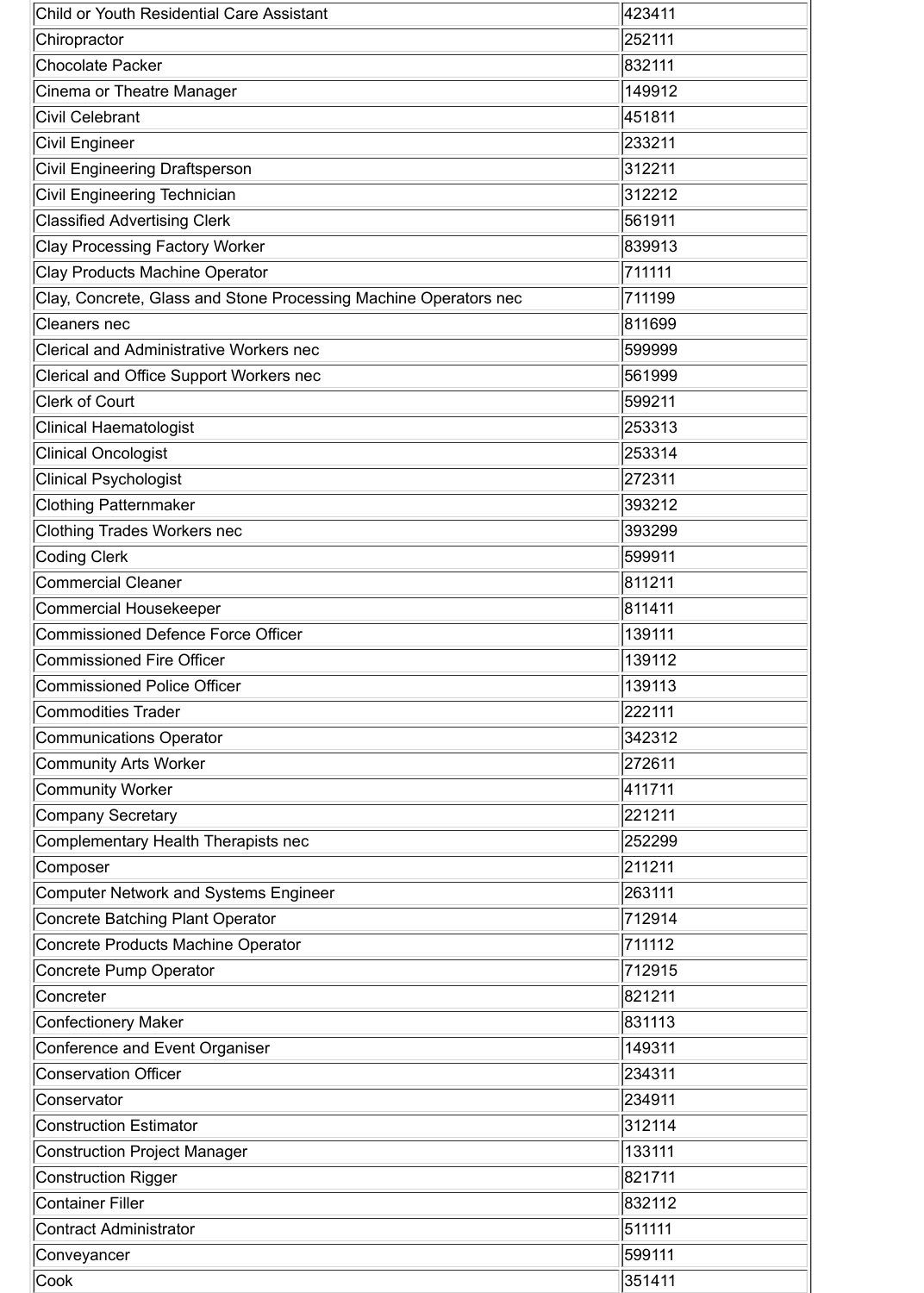| <b>Child or Youth Residential Care Assistant</b>                 | 423411 |
|------------------------------------------------------------------|--------|
| Chiropractor                                                     | 252111 |
| <b>Chocolate Packer</b>                                          | 832111 |
| Cinema or Theatre Manager                                        | 149912 |
| <b>Civil Celebrant</b>                                           | 451811 |
| <b>Civil Engineer</b>                                            | 233211 |
| <b>Civil Engineering Draftsperson</b>                            | 312211 |
| Civil Engineering Technician                                     | 312212 |
| <b>Classified Advertising Clerk</b>                              | 561911 |
| <b>Clay Processing Factory Worker</b>                            | 839913 |
| <b>Clay Products Machine Operator</b>                            | 711111 |
| Clay, Concrete, Glass and Stone Processing Machine Operators nec | 711199 |
| <b>Cleaners nec</b>                                              | 811699 |
| <b>Clerical and Administrative Workers nec</b>                   | 599999 |
| <b>Clerical and Office Support Workers nec</b>                   | 561999 |
| <b>Clerk of Court</b>                                            | 599211 |
| <b>Clinical Haematologist</b>                                    | 253313 |
| <b>Clinical Oncologist</b>                                       | 253314 |
| <b>Clinical Psychologist</b>                                     | 272311 |
| <b>Clothing Patternmaker</b>                                     | 393212 |
| <b>Clothing Trades Workers nec</b>                               | 393299 |
| Coding Clerk                                                     | 599911 |
| <b>Commercial Cleaner</b>                                        | 811211 |
| <b>Commercial Housekeeper</b>                                    | 811411 |
| <b>Commissioned Defence Force Officer</b>                        | 139111 |
| <b>Commissioned Fire Officer</b>                                 | 139112 |
| <b>Commissioned Police Officer</b>                               | 139113 |
| <b>Commodities Trader</b>                                        | 222111 |
| <b>Communications Operator</b>                                   | 342312 |
| <b>Community Arts Worker</b>                                     | 272611 |
| <b>Community Worker</b>                                          | 411711 |
| <b>Company Secretary</b>                                         | 221211 |
| Complementary Health Therapists nec                              | 252299 |
| Composer                                                         | 211211 |
| <b>Computer Network and Systems Engineer</b>                     | 263111 |
| <b>Concrete Batching Plant Operator</b>                          | 712914 |
| <b>Concrete Products Machine Operator</b>                        | 711112 |
| Concrete Pump Operator                                           | 712915 |
| Concreter                                                        | 821211 |
| <b>Confectionery Maker</b>                                       | 831113 |
| <b>Conference and Event Organiser</b>                            | 149311 |
| <b>Conservation Officer</b>                                      | 234311 |
| Conservator                                                      | 234911 |
| <b>Construction Estimator</b>                                    | 312114 |
|                                                                  |        |
| <b>Construction Project Manager</b>                              | 133111 |
| <b>Construction Rigger</b>                                       | 821711 |
| <b>Container Filler</b>                                          | 832112 |
| <b>Contract Administrator</b>                                    | 511111 |
| Conveyancer                                                      | 599111 |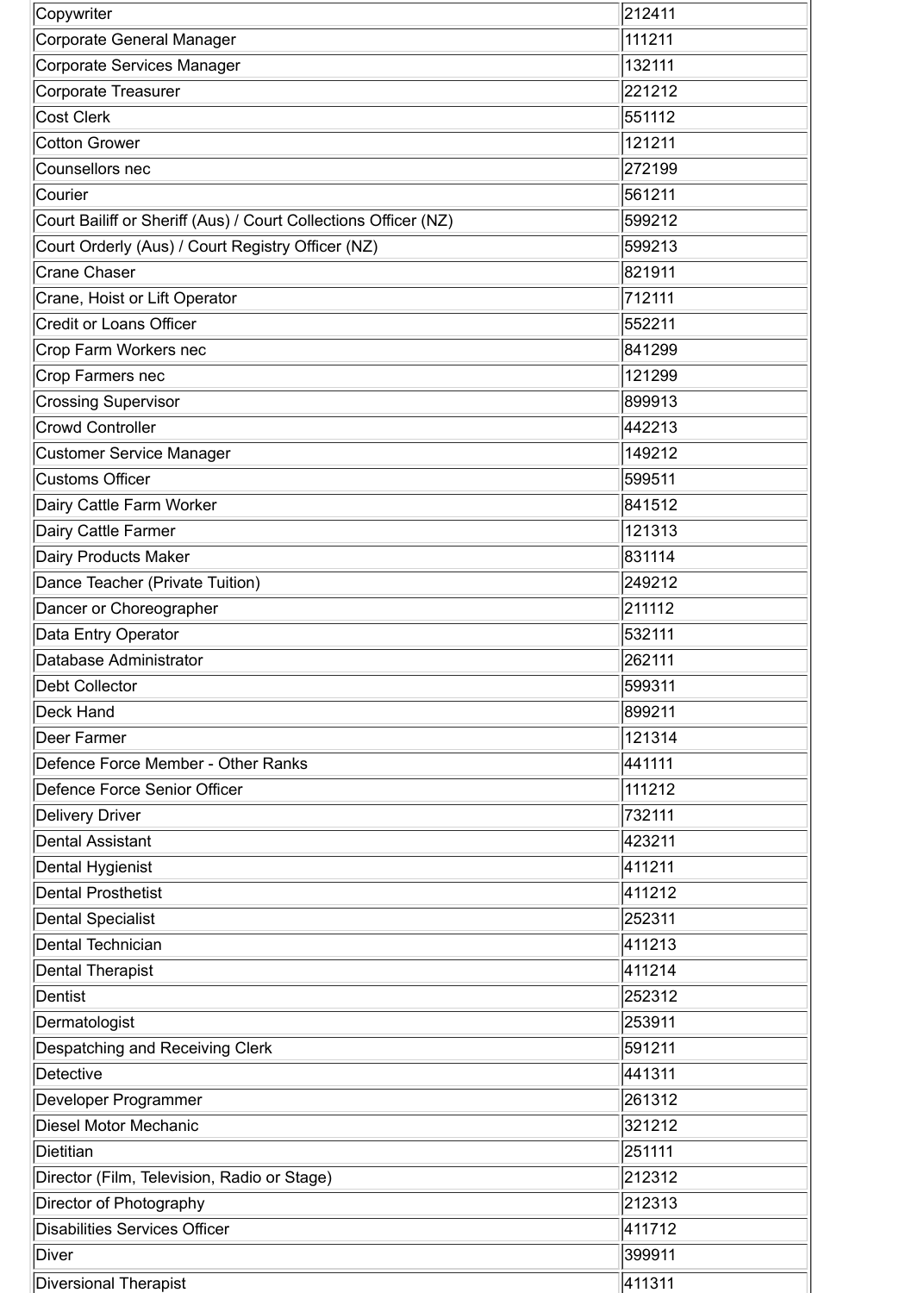| Copywriter                                                      | 212411 |
|-----------------------------------------------------------------|--------|
| <b>Corporate General Manager</b>                                | 111211 |
| <b>Corporate Services Manager</b>                               | 132111 |
| <b>Corporate Treasurer</b>                                      | 221212 |
| <b>Cost Clerk</b>                                               | 551112 |
| <b>Cotton Grower</b>                                            | 121211 |
| Counsellors nec                                                 | 272199 |
| Courier                                                         | 561211 |
| Court Bailiff or Sheriff (Aus) / Court Collections Officer (NZ) | 599212 |
| Court Orderly (Aus) / Court Registry Officer (NZ)               | 599213 |
| <b>Crane Chaser</b>                                             | 821911 |
| Crane, Hoist or Lift Operator                                   | 712111 |
| <b>Credit or Loans Officer</b>                                  | 552211 |
| Crop Farm Workers nec                                           | 841299 |
| Crop Farmers nec                                                | 121299 |
| <b>Crossing Supervisor</b>                                      | 899913 |
| <b>Crowd Controller</b>                                         | 442213 |
| <b>Customer Service Manager</b>                                 | 149212 |
| <b>Customs Officer</b>                                          | 599511 |
| Dairy Cattle Farm Worker                                        | 841512 |
| Dairy Cattle Farmer                                             | 121313 |
| Dairy Products Maker                                            | 831114 |
| Dance Teacher (Private Tuition)                                 | 249212 |
| Dancer or Choreographer                                         | 211112 |
| Data Entry Operator                                             | 532111 |
| Database Administrator                                          | 262111 |
| <b>Debt Collector</b>                                           | 599311 |
| Deck Hand                                                       | 899211 |
| Deer Farmer                                                     | 121314 |
| Defence Force Member - Other Ranks                              | 441111 |
| Defence Force Senior Officer                                    | 111212 |
| <b>Delivery Driver</b>                                          | 732111 |
| <b>Dental Assistant</b>                                         | 423211 |
| Dental Hygienist                                                | 411211 |
| <b>Dental Prosthetist</b>                                       | 411212 |
| <b>Dental Specialist</b>                                        | 252311 |
| Dental Technician                                               | 411213 |
| <b>Dental Therapist</b>                                         | 411214 |
| Dentist                                                         | 252312 |
| Dermatologist                                                   | 253911 |
| Despatching and Receiving Clerk                                 | 591211 |
| Detective                                                       | 441311 |
| Developer Programmer                                            | 261312 |
| <b>Diesel Motor Mechanic</b>                                    | 321212 |
| Dietitian                                                       | 251111 |
| Director (Film, Television, Radio or Stage)                     | 212312 |
| Director of Photography                                         | 212313 |
| <b>Disabilities Services Officer</b>                            | 411712 |
| Diver                                                           | 399911 |
| <b>Diversional Therapist</b>                                    | 411311 |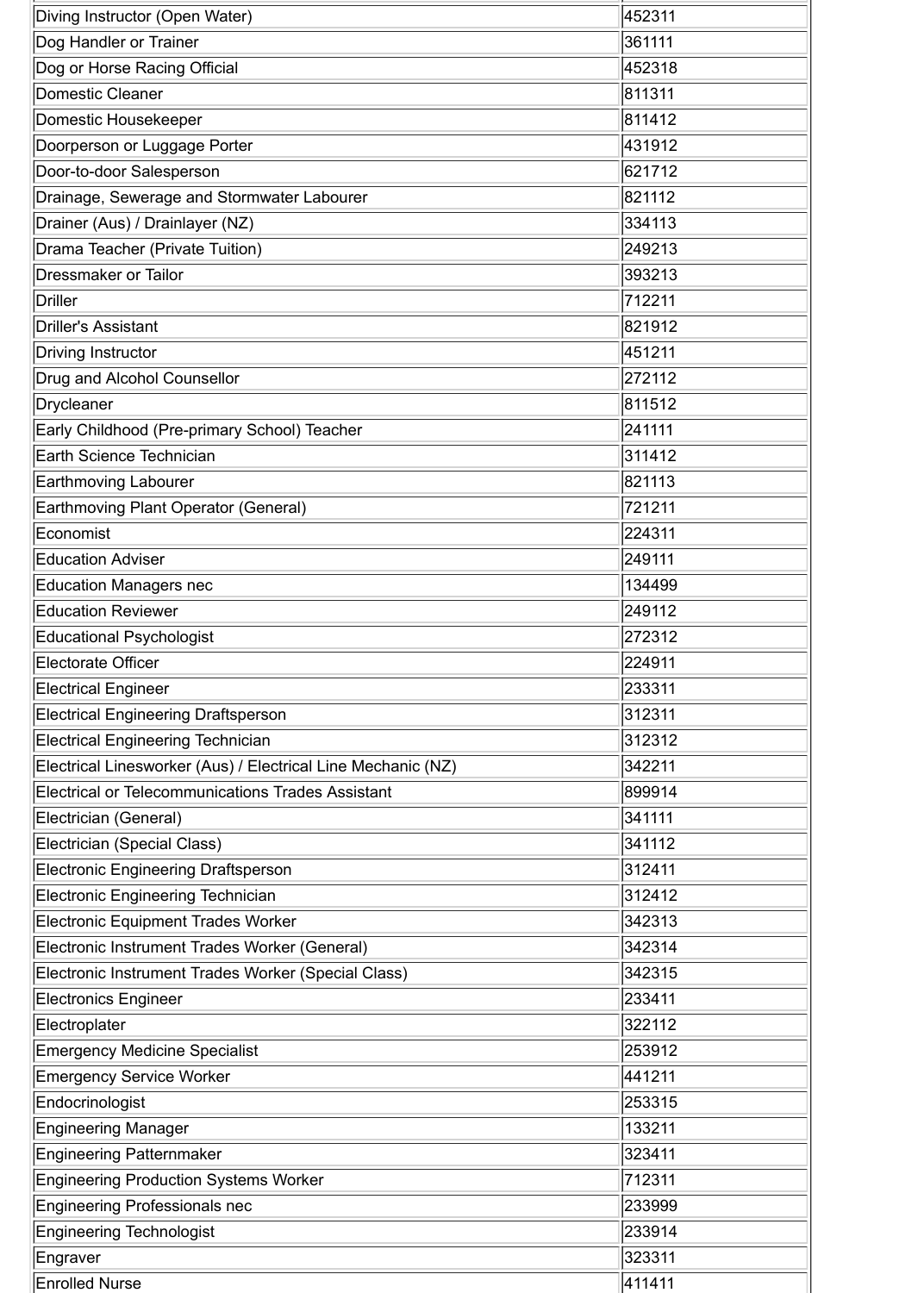| Diving Instructor (Open Water)                               | 452311 |
|--------------------------------------------------------------|--------|
| Dog Handler or Trainer                                       | 361111 |
| Dog or Horse Racing Official                                 | 452318 |
| Domestic Cleaner                                             | 811311 |
| Domestic Housekeeper                                         | 811412 |
| Doorperson or Luggage Porter                                 | 431912 |
| Door-to-door Salesperson                                     | 621712 |
| Drainage, Sewerage and Stormwater Labourer                   | 821112 |
| Drainer (Aus) / Drainlayer (NZ)                              | 334113 |
| Drama Teacher (Private Tuition)                              | 249213 |
| <b>Dressmaker or Tailor</b>                                  | 393213 |
| Driller                                                      | 712211 |
| Driller's Assistant                                          | 821912 |
| Driving Instructor                                           | 451211 |
| Drug and Alcohol Counsellor                                  | 272112 |
| Drycleaner                                                   | 811512 |
| Early Childhood (Pre-primary School) Teacher                 | 241111 |
| Earth Science Technician                                     | 311412 |
| <b>Earthmoving Labourer</b>                                  | 821113 |
| Earthmoving Plant Operator (General)                         | 721211 |
| Economist                                                    | 224311 |
| <b>Education Adviser</b>                                     | 249111 |
| <b>Education Managers nec</b>                                | 134499 |
| <b>Education Reviewer</b>                                    | 249112 |
| <b>Educational Psychologist</b>                              | 272312 |
| <b>Electorate Officer</b>                                    | 224911 |
| <b>Electrical Engineer</b>                                   | 233311 |
| <b>Electrical Engineering Draftsperson</b>                   | 312311 |
| <b>Electrical Engineering Technician</b>                     | 312312 |
| Electrical Linesworker (Aus) / Electrical Line Mechanic (NZ) | 342211 |
| <b>Electrical or Telecommunications Trades Assistant</b>     | 899914 |
| Electrician (General)                                        | 341111 |
| Electrician (Special Class)                                  | 341112 |
| <b>Electronic Engineering Draftsperson</b>                   | 312411 |
| Electronic Engineering Technician                            | 312412 |
| <b>Electronic Equipment Trades Worker</b>                    | 342313 |
| Electronic Instrument Trades Worker (General)                | 342314 |
| Electronic Instrument Trades Worker (Special Class)          | 342315 |
| <b>Electronics Engineer</b>                                  | 233411 |
| Electroplater                                                | 322112 |
| <b>Emergency Medicine Specialist</b>                         | 253912 |
| <b>Emergency Service Worker</b>                              | 441211 |
| Endocrinologist                                              | 253315 |
| <b>Engineering Manager</b>                                   | 133211 |
| Engineering Patternmaker                                     | 323411 |
| <b>Engineering Production Systems Worker</b>                 | 712311 |
| <b>Engineering Professionals nec</b>                         | 233999 |
| <b>Engineering Technologist</b>                              | 233914 |
| Engraver                                                     | 323311 |
| <b>Enrolled Nurse</b>                                        | 411411 |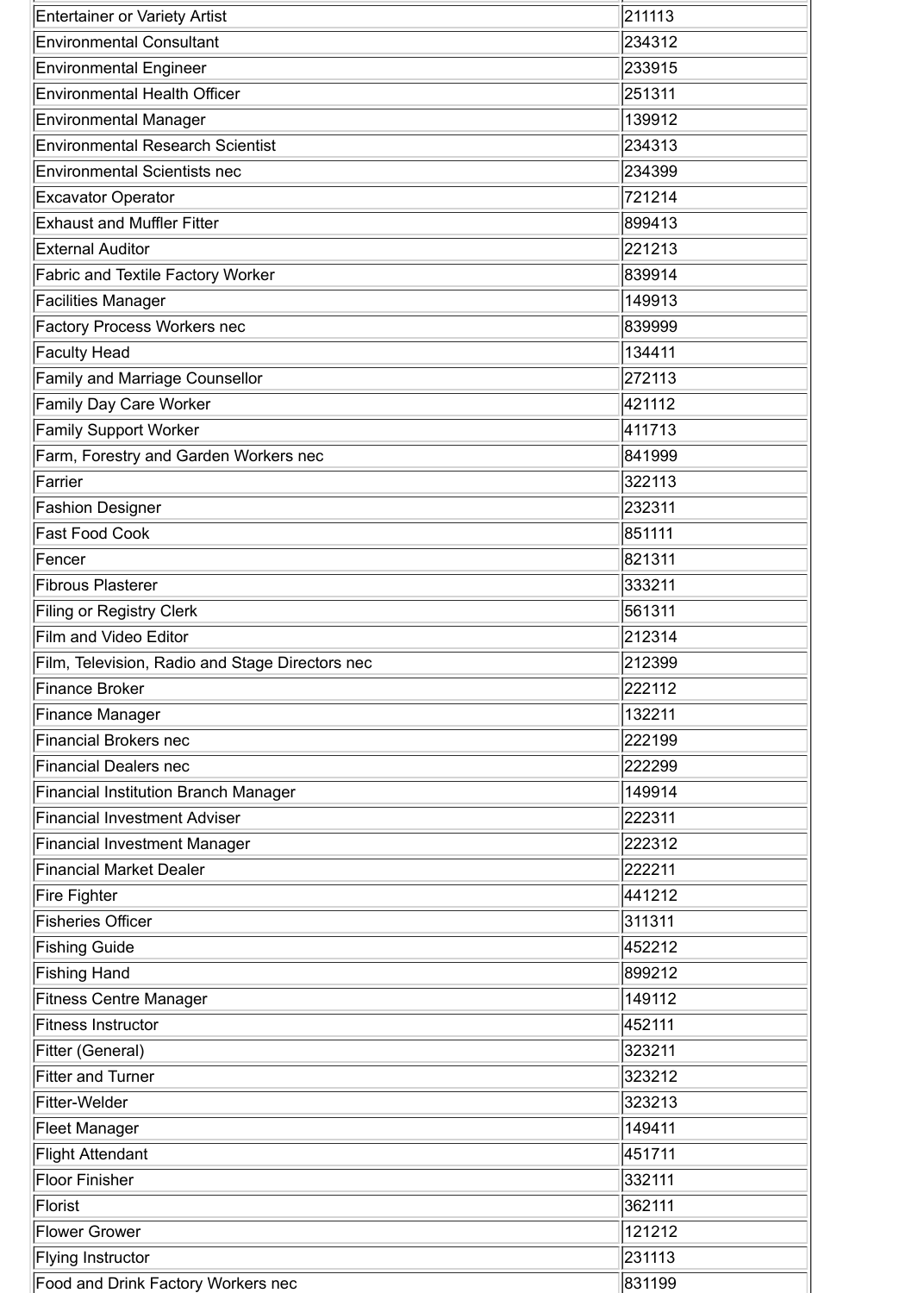| <b>Entertainer or Variety Artist</b>            | 211113 |
|-------------------------------------------------|--------|
| <b>Environmental Consultant</b>                 | 234312 |
| <b>Environmental Engineer</b>                   | 233915 |
| <b>Environmental Health Officer</b>             | 251311 |
| <b>Environmental Manager</b>                    | 139912 |
| <b>Environmental Research Scientist</b>         | 234313 |
| <b>Environmental Scientists nec</b>             | 234399 |
| <b>Excavator Operator</b>                       | 721214 |
| <b>Exhaust and Muffler Fitter</b>               | 899413 |
| <b>External Auditor</b>                         | 221213 |
| <b>Fabric and Textile Factory Worker</b>        | 839914 |
| <b>Facilities Manager</b>                       | 149913 |
| <b>Factory Process Workers nec</b>              | 839999 |
| <b>Faculty Head</b>                             | 134411 |
| <b>Family and Marriage Counsellor</b>           | 272113 |
| <b>Family Day Care Worker</b>                   | 421112 |
| <b>Family Support Worker</b>                    | 411713 |
| Farm, Forestry and Garden Workers nec           | 841999 |
| Farrier                                         | 322113 |
| <b>Fashion Designer</b>                         | 232311 |
| <b>Fast Food Cook</b>                           | 851111 |
| Fencer                                          | 821311 |
| <b>Fibrous Plasterer</b>                        | 333211 |
| <b>Filing or Registry Clerk</b>                 | 561311 |
| Film and Video Editor                           | 212314 |
| Film, Television, Radio and Stage Directors nec | 212399 |
| <b>Finance Broker</b>                           | 222112 |
| <b>Finance Manager</b>                          | 132211 |
| <b>Financial Brokers nec</b>                    | 222199 |
| <b>Financial Dealers nec</b>                    | 222299 |
| <b>Financial Institution Branch Manager</b>     | 149914 |
| <b>Financial Investment Adviser</b>             | 222311 |
| <b>Financial Investment Manager</b>             | 222312 |
| <b>Financial Market Dealer</b>                  | 222211 |
| <b>Fire Fighter</b>                             | 441212 |
| <b>Fisheries Officer</b>                        | 311311 |
| <b>Fishing Guide</b>                            | 452212 |
| <b>Fishing Hand</b>                             | 899212 |
| <b>Fitness Centre Manager</b>                   | 149112 |
| <b>Fitness Instructor</b>                       | 452111 |
| <b>Fitter (General)</b>                         | 323211 |
| <b>Fitter and Turner</b>                        | 323212 |
| Fitter-Welder                                   | 323213 |
| <b>Fleet Manager</b>                            | 149411 |
| <b>Flight Attendant</b>                         | 451711 |
| <b>Floor Finisher</b>                           | 332111 |
| Florist                                         | 362111 |
| <b>Flower Grower</b>                            | 121212 |
| <b>Flying Instructor</b>                        | 231113 |
| Food and Drink Factory Workers nec              | 831199 |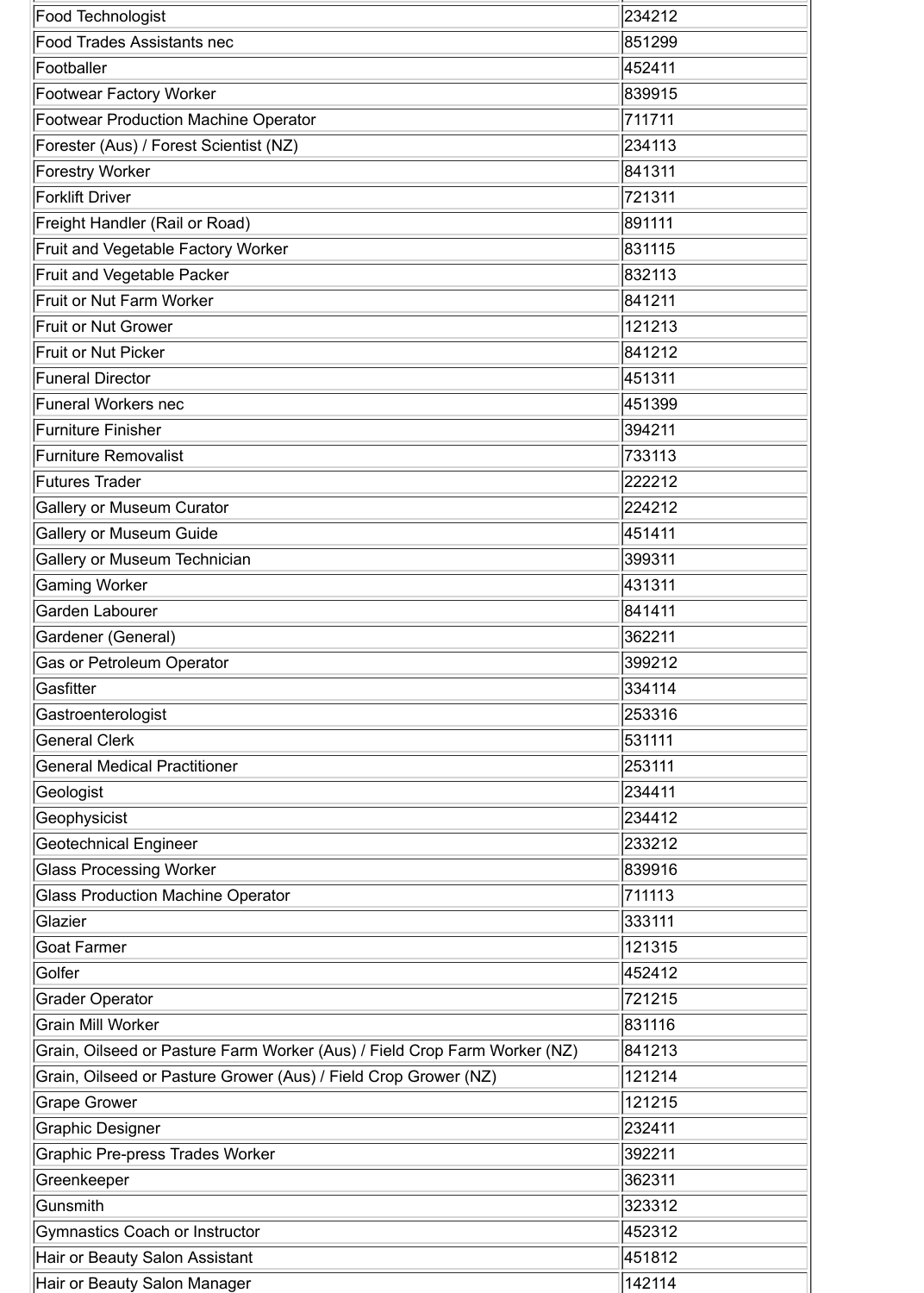| <b>Food Technologist</b>                                                  | 234212 |
|---------------------------------------------------------------------------|--------|
| <b>Food Trades Assistants nec</b>                                         | 851299 |
| Footballer                                                                | 452411 |
| <b>Footwear Factory Worker</b>                                            | 839915 |
| <b>Footwear Production Machine Operator</b>                               | 711711 |
| Forester (Aus) / Forest Scientist (NZ)                                    | 234113 |
| <b>Forestry Worker</b>                                                    | 841311 |
| <b>Forklift Driver</b>                                                    | 721311 |
| Freight Handler (Rail or Road)                                            | 891111 |
| Fruit and Vegetable Factory Worker                                        | 831115 |
| Fruit and Vegetable Packer                                                | 832113 |
| Fruit or Nut Farm Worker                                                  | 841211 |
| <b>Fruit or Nut Grower</b>                                                | 121213 |
| <b>Fruit or Nut Picker</b>                                                | 841212 |
| <b>Funeral Director</b>                                                   | 451311 |
| <b>Funeral Workers nec</b>                                                | 451399 |
| <b>Furniture Finisher</b>                                                 | 394211 |
| <b>Furniture Removalist</b>                                               | 733113 |
| <b>Futures Trader</b>                                                     | 222212 |
| <b>Gallery or Museum Curator</b>                                          | 224212 |
| <b>Gallery or Museum Guide</b>                                            | 451411 |
| Gallery or Museum Technician                                              | 399311 |
| <b>Gaming Worker</b>                                                      | 431311 |
| Garden Labourer                                                           | 841411 |
| Gardener (General)                                                        | 362211 |
| <b>Gas or Petroleum Operator</b>                                          | 399212 |
| Gasfitter                                                                 | 334114 |
| Gastroenterologist                                                        | 253316 |
| <b>General Clerk</b>                                                      | 531111 |
| <b>General Medical Practitioner</b>                                       | 253111 |
| Geologist                                                                 | 234411 |
| Geophysicist                                                              | 234412 |
| <b>Geotechnical Engineer</b>                                              | 233212 |
| <b>Glass Processing Worker</b>                                            | 839916 |
| <b>Glass Production Machine Operator</b>                                  | 711113 |
| Glazier                                                                   | 333111 |
| <b>Goat Farmer</b>                                                        | 121315 |
| Golfer                                                                    | 452412 |
| <b>Grader Operator</b>                                                    | 721215 |
| <b>Grain Mill Worker</b>                                                  | 831116 |
| Grain, Oilseed or Pasture Farm Worker (Aus) / Field Crop Farm Worker (NZ) | 841213 |
| Grain, Oilseed or Pasture Grower (Aus) / Field Crop Grower (NZ)           | 121214 |
| <b>Grape Grower</b>                                                       | 121215 |
| <b>Graphic Designer</b>                                                   | 232411 |
| <b>Graphic Pre-press Trades Worker</b>                                    | 392211 |
| Greenkeeper                                                               | 362311 |
| Gunsmith                                                                  | 323312 |
| <b>Gymnastics Coach or Instructor</b>                                     | 452312 |
| Hair or Beauty Salon Assistant                                            | 451812 |
| Hair or Beauty Salon Manager                                              | 142114 |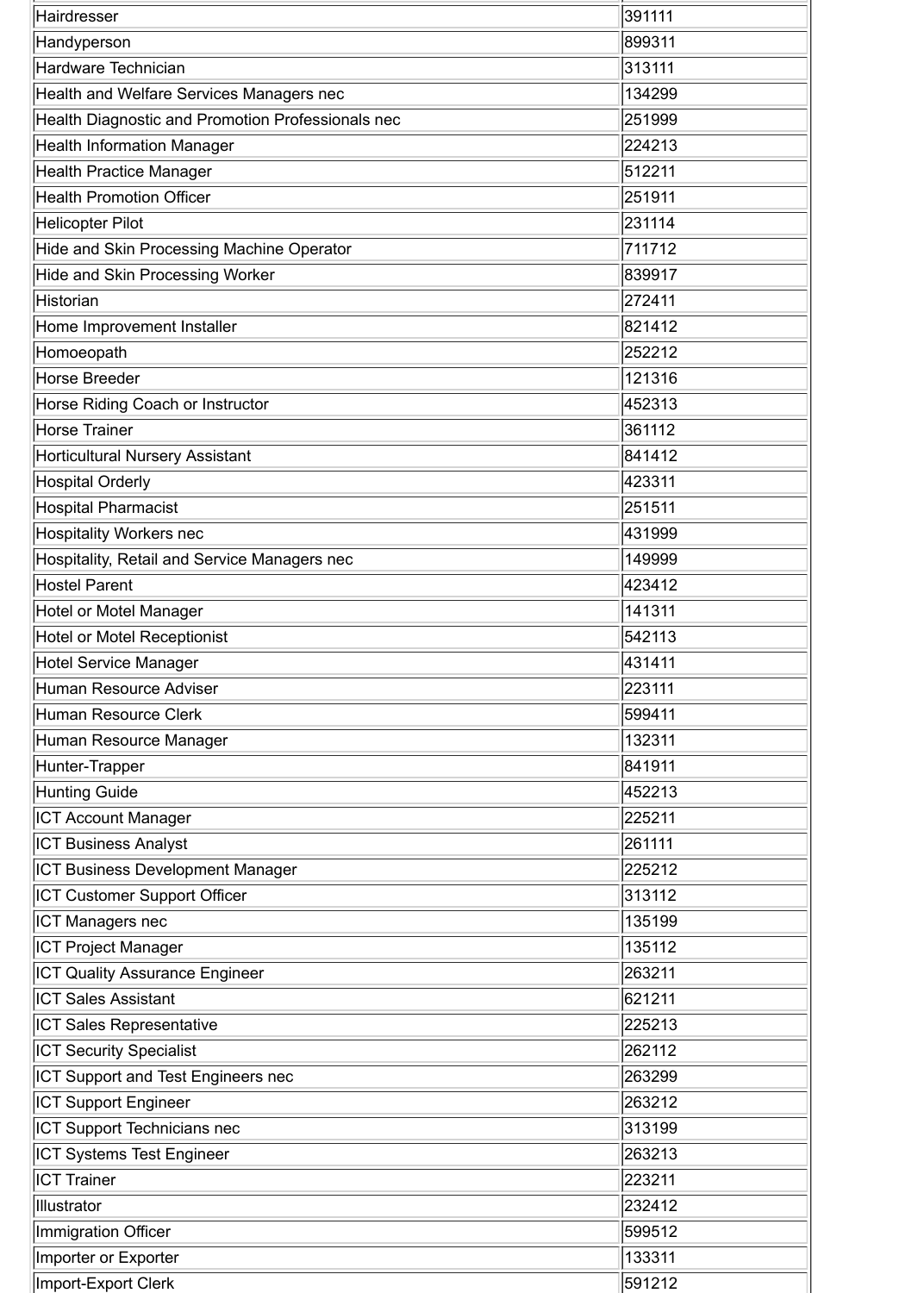| Hairdresser                                       | 391111 |
|---------------------------------------------------|--------|
| Handyperson                                       | 899311 |
| Hardware Technician                               | 313111 |
| Health and Welfare Services Managers nec          | 134299 |
| Health Diagnostic and Promotion Professionals nec | 251999 |
| <b>Health Information Manager</b>                 | 224213 |
| <b>Health Practice Manager</b>                    | 512211 |
| <b>Health Promotion Officer</b>                   | 251911 |
| <b>Helicopter Pilot</b>                           | 231114 |
| Hide and Skin Processing Machine Operator         | 711712 |
| <b>Hide and Skin Processing Worker</b>            | 839917 |
| <b>Historian</b>                                  | 272411 |
| Home Improvement Installer                        | 821412 |
| Homoeopath                                        | 252212 |
| <b>Horse Breeder</b>                              | 121316 |
| Horse Riding Coach or Instructor                  | 452313 |
| <b>Horse Trainer</b>                              | 361112 |
| Horticultural Nursery Assistant                   | 841412 |
| <b>Hospital Orderly</b>                           | 423311 |
| <b>Hospital Pharmacist</b>                        | 251511 |
| <b>Hospitality Workers nec</b>                    | 431999 |
| Hospitality, Retail and Service Managers nec      | 149999 |
| Hostel Parent                                     | 423412 |
| Hotel or Motel Manager                            | 141311 |
| <b>Hotel or Motel Receptionist</b>                | 542113 |
| <b>Hotel Service Manager</b>                      | 431411 |
| Human Resource Adviser                            | 223111 |
| Human Resource Clerk                              | 599411 |
| Human Resource Manager                            | 132311 |
| Hunter-Trapper                                    | 841911 |
| <b>Hunting Guide</b>                              | 452213 |
| <b>ICT Account Manager</b>                        | 225211 |
| <b>ICT Business Analyst</b>                       | 261111 |
| <b>ICT Business Development Manager</b>           | 225212 |
| <b>ICT Customer Support Officer</b>               | 313112 |
| <b>ICT Managers nec</b>                           | 135199 |
| <b>ICT Project Manager</b>                        | 135112 |
| <b>ICT Quality Assurance Engineer</b>             | 263211 |
| <b>ICT Sales Assistant</b>                        | 621211 |
| <b>ICT Sales Representative</b>                   | 225213 |
| <b>ICT Security Specialist</b>                    | 262112 |
| <b>ICT Support and Test Engineers nec</b>         | 263299 |
| <b>ICT Support Engineer</b>                       | 263212 |
| <b>ICT Support Technicians nec</b>                | 313199 |
| <b>ICT Systems Test Engineer</b>                  | 263213 |
| <b>ICT Trainer</b>                                | 223211 |
| Illustrator                                       | 232412 |
| Immigration Officer                               | 599512 |
| Importer or Exporter                              | 133311 |
| Import-Export Clerk                               | 591212 |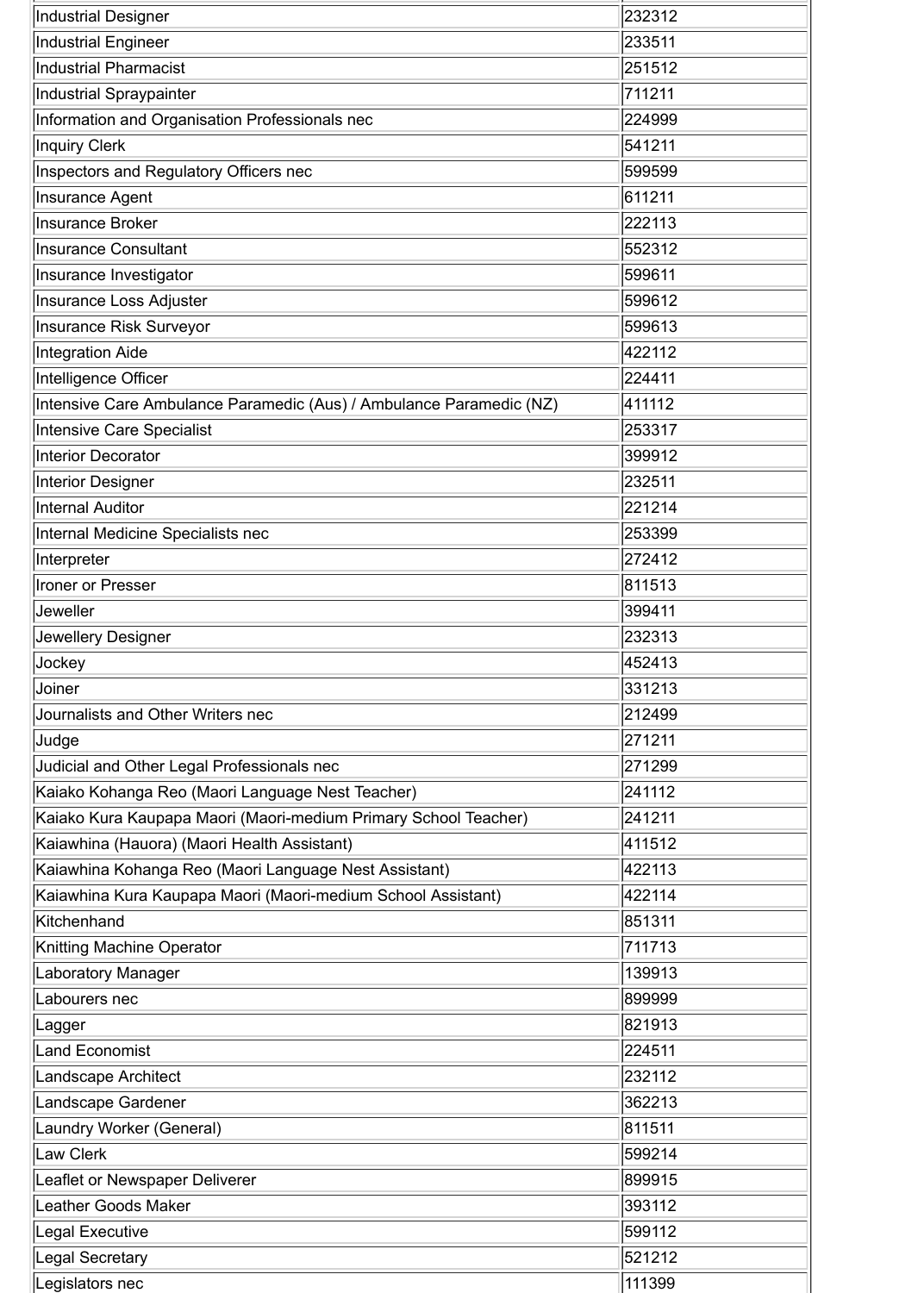| <b>Industrial Designer</b>                                          | 232312           |
|---------------------------------------------------------------------|------------------|
| Industrial Engineer                                                 | 233511           |
| Industrial Pharmacist                                               | 251512           |
| Industrial Spraypainter                                             | 711211           |
| Information and Organisation Professionals nec                      | 224999           |
| <b>Inquiry Clerk</b>                                                | 541211           |
| Inspectors and Regulatory Officers nec                              | 599599           |
| <b>Insurance Agent</b>                                              | 611211           |
| <b>Insurance Broker</b>                                             | 222113           |
| <b>Insurance Consultant</b>                                         | 552312           |
| Insurance Investigator                                              | 599611           |
| Insurance Loss Adjuster                                             | 599612           |
| <b>Insurance Risk Surveyor</b>                                      | 599613           |
| <b>Integration Aide</b>                                             | 422112           |
| Intelligence Officer                                                | 224411           |
| Intensive Care Ambulance Paramedic (Aus) / Ambulance Paramedic (NZ) | 411112           |
| <b>Intensive Care Specialist</b>                                    | 253317           |
| <b>Interior Decorator</b>                                           | 399912           |
| <b>Interior Designer</b>                                            | 232511           |
| <b>Internal Auditor</b>                                             | 221214           |
| Internal Medicine Specialists nec                                   | 253399           |
| Interpreter                                                         | 272412           |
| <b>Ironer or Presser</b>                                            | 811513           |
| <b>Jeweller</b>                                                     | 399411           |
| Jewellery Designer                                                  | 232313           |
| Jockey                                                              | 452413           |
| Joiner                                                              | 331213           |
| Journalists and Other Writers nec                                   | 212499           |
| Judge                                                               | 271211           |
| Judicial and Other Legal Professionals nec                          | 271299           |
| Kaiako Kohanga Reo (Maori Language Nest Teacher)                    | 241112           |
| Kaiako Kura Kaupapa Maori (Maori-medium Primary School Teacher)     | 241211           |
| Kaiawhina (Hauora) (Maori Health Assistant)                         | 411512           |
| Kaiawhina Kohanga Reo (Maori Language Nest Assistant)               | 422113           |
| Kaiawhina Kura Kaupapa Maori (Maori-medium School Assistant)        | 422114           |
| Kitchenhand                                                         | 851311           |
| Knitting Machine Operator                                           | 711713           |
| <b>Laboratory Manager</b>                                           | 139913           |
| Labourers nec                                                       | 899999           |
| Lagger                                                              | 821913           |
|                                                                     |                  |
| <b>Land Economist</b>                                               | 224511           |
|                                                                     |                  |
| Landscape Architect                                                 | 232112           |
| Landscape Gardener                                                  | 362213           |
| Laundry Worker (General)                                            | 811511           |
| Law Clerk                                                           | 599214           |
| Leaflet or Newspaper Deliverer                                      | 899915           |
| Leather Goods Maker                                                 | 393112           |
| Legal Executive<br><b>Legal Secretary</b>                           | 599112<br>521212 |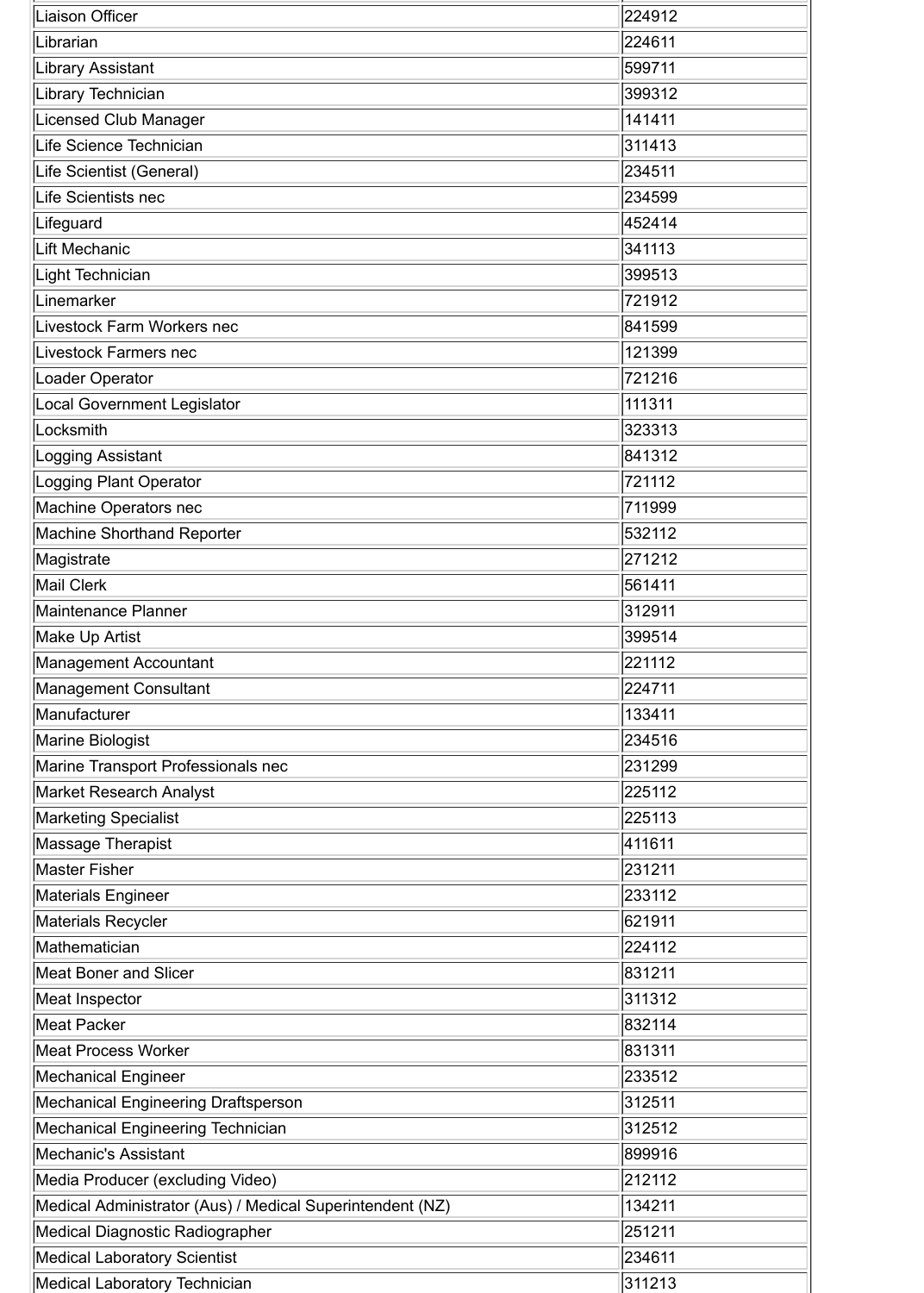| Liaison Officer                                           | 224912 |
|-----------------------------------------------------------|--------|
| Librarian                                                 | 224611 |
| Library Assistant                                         | 599711 |
| Library Technician                                        | 399312 |
| <b>Licensed Club Manager</b>                              | 141411 |
| Life Science Technician                                   | 311413 |
| Life Scientist (General)                                  | 234511 |
| Life Scientists nec                                       | 234599 |
| Lifeguard                                                 | 452414 |
| Lift Mechanic                                             | 341113 |
| Light Technician                                          | 399513 |
| Linemarker                                                | 721912 |
| Livestock Farm Workers nec                                | 841599 |
| <b>Livestock Farmers nec</b>                              | 121399 |
| Loader Operator                                           | 721216 |
| <b>Local Government Legislator</b>                        | 111311 |
| Locksmith                                                 | 323313 |
| Logging Assistant                                         | 841312 |
| <b>Logging Plant Operator</b>                             | 721112 |
| Machine Operators nec                                     | 711999 |
| <b>Machine Shorthand Reporter</b>                         | 532112 |
| Magistrate                                                | 271212 |
| Mail Clerk                                                | 561411 |
| Maintenance Planner                                       | 312911 |
| Make Up Artist                                            | 399514 |
| Management Accountant                                     | 221112 |
| Management Consultant                                     | 224711 |
| Manufacturer                                              | 133411 |
| Marine Biologist                                          | 234516 |
| Marine Transport Professionals nec                        | 231299 |
| Market Research Analyst                                   | 225112 |
| <b>Marketing Specialist</b>                               | 225113 |
| Massage Therapist                                         | 411611 |
| Master Fisher                                             | 231211 |
| Materials Engineer                                        | 233112 |
| Materials Recycler                                        | 621911 |
| Mathematician                                             | 224112 |
| <b>Meat Boner and Slicer</b>                              | 831211 |
| Meat Inspector                                            | 311312 |
| Meat Packer                                               | 832114 |
| <b>Meat Process Worker</b>                                | 831311 |
| Mechanical Engineer                                       | 233512 |
| Mechanical Engineering Draftsperson                       | 312511 |
| Mechanical Engineering Technician                         | 312512 |
| Mechanic's Assistant                                      | 899916 |
| Media Producer (excluding Video)                          | 212112 |
| Medical Administrator (Aus) / Medical Superintendent (NZ) | 134211 |
| Medical Diagnostic Radiographer                           | 251211 |
| <b>Medical Laboratory Scientist</b>                       | 234611 |
| Medical Laboratory Technician                             | 311213 |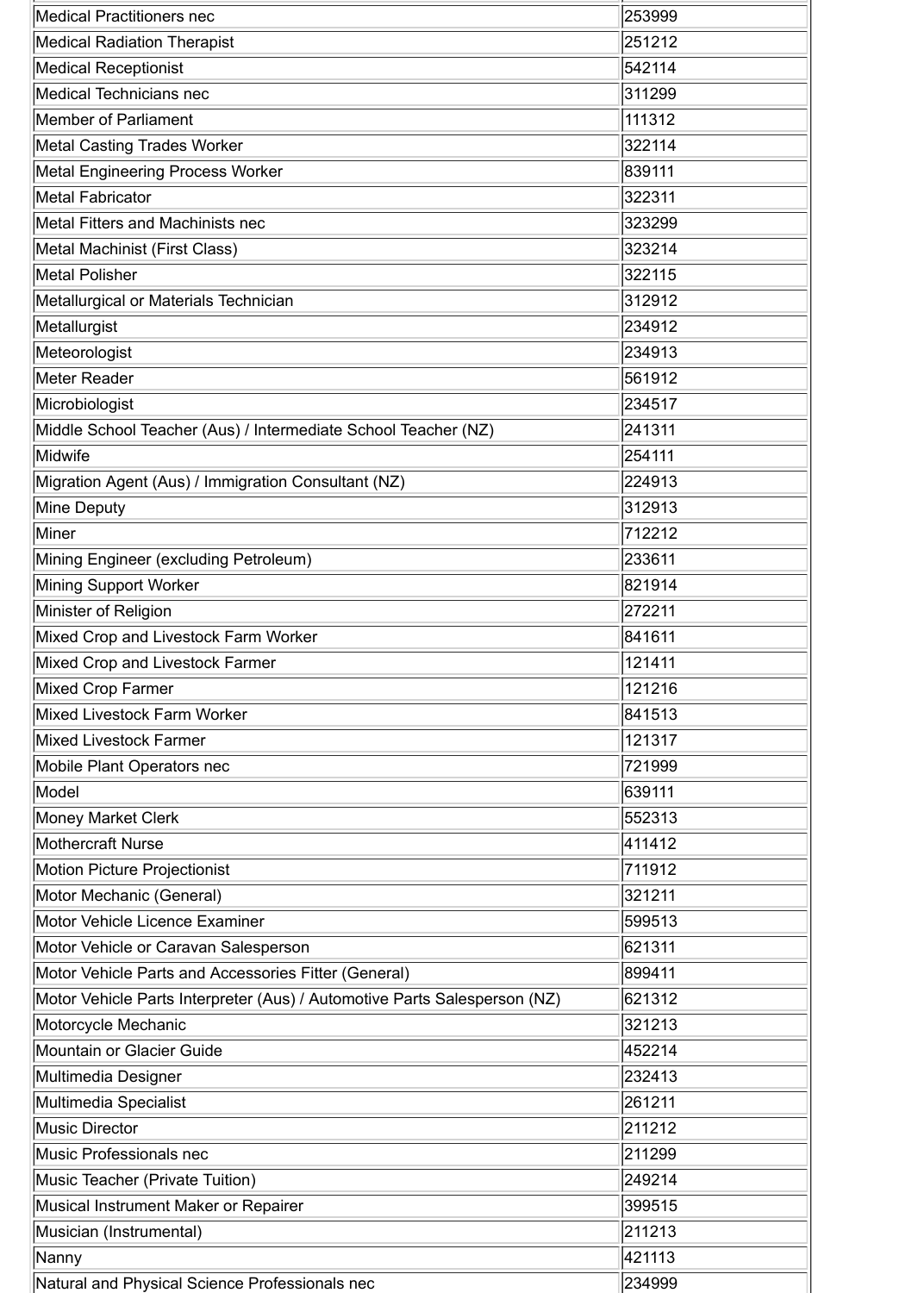| Medical Practitioners nec                                                 | 253999 |
|---------------------------------------------------------------------------|--------|
| <b>Medical Radiation Therapist</b>                                        | 251212 |
| <b>Medical Receptionist</b>                                               | 542114 |
| <b>Medical Technicians nec</b>                                            | 311299 |
| Member of Parliament                                                      | 111312 |
| <b>Metal Casting Trades Worker</b>                                        | 322114 |
| <b>Metal Engineering Process Worker</b>                                   | 839111 |
| <b>Metal Fabricator</b>                                                   | 322311 |
| Metal Fitters and Machinists nec                                          | 323299 |
| Metal Machinist (First Class)                                             | 323214 |
| Metal Polisher                                                            | 322115 |
| Metallurgical or Materials Technician                                     | 312912 |
| Metallurgist                                                              | 234912 |
| Meteorologist                                                             | 234913 |
| Meter Reader                                                              | 561912 |
| Microbiologist                                                            | 234517 |
| Middle School Teacher (Aus) / Intermediate School Teacher (NZ)            | 241311 |
| Midwife                                                                   | 254111 |
| Migration Agent (Aus) / Immigration Consultant (NZ)                       | 224913 |
| Mine Deputy                                                               | 312913 |
| <b>Miner</b>                                                              | 712212 |
| Mining Engineer (excluding Petroleum)                                     | 233611 |
| Mining Support Worker                                                     | 821914 |
| Minister of Religion                                                      | 272211 |
| Mixed Crop and Livestock Farm Worker                                      | 841611 |
| Mixed Crop and Livestock Farmer                                           | 121411 |
| Mixed Crop Farmer                                                         | 121216 |
| Mixed Livestock Farm Worker                                               | 841513 |
| Mixed Livestock Farmer                                                    | 121317 |
| Mobile Plant Operators nec                                                | 721999 |
| Model                                                                     | 639111 |
| <b>Money Market Clerk</b>                                                 | 552313 |
| <b>Mothercraft Nurse</b>                                                  | 411412 |
| <b>Motion Picture Projectionist</b>                                       | 711912 |
| Motor Mechanic (General)                                                  | 321211 |
| Motor Vehicle Licence Examiner                                            | 599513 |
| Motor Vehicle or Caravan Salesperson                                      | 621311 |
| Motor Vehicle Parts and Accessories Fitter (General)                      | 899411 |
| Motor Vehicle Parts Interpreter (Aus) / Automotive Parts Salesperson (NZ) | 621312 |
| Motorcycle Mechanic                                                       | 321213 |
| Mountain or Glacier Guide                                                 | 452214 |
| Multimedia Designer                                                       | 232413 |
| Multimedia Specialist                                                     | 261211 |
| Music Director                                                            | 211212 |
| Music Professionals nec                                                   | 211299 |
| Music Teacher (Private Tuition)                                           | 249214 |
| Musical Instrument Maker or Repairer                                      | 399515 |
| Musician (Instrumental)                                                   | 211213 |
| Nanny                                                                     | 421113 |
| Natural and Physical Science Professionals nec                            | 234999 |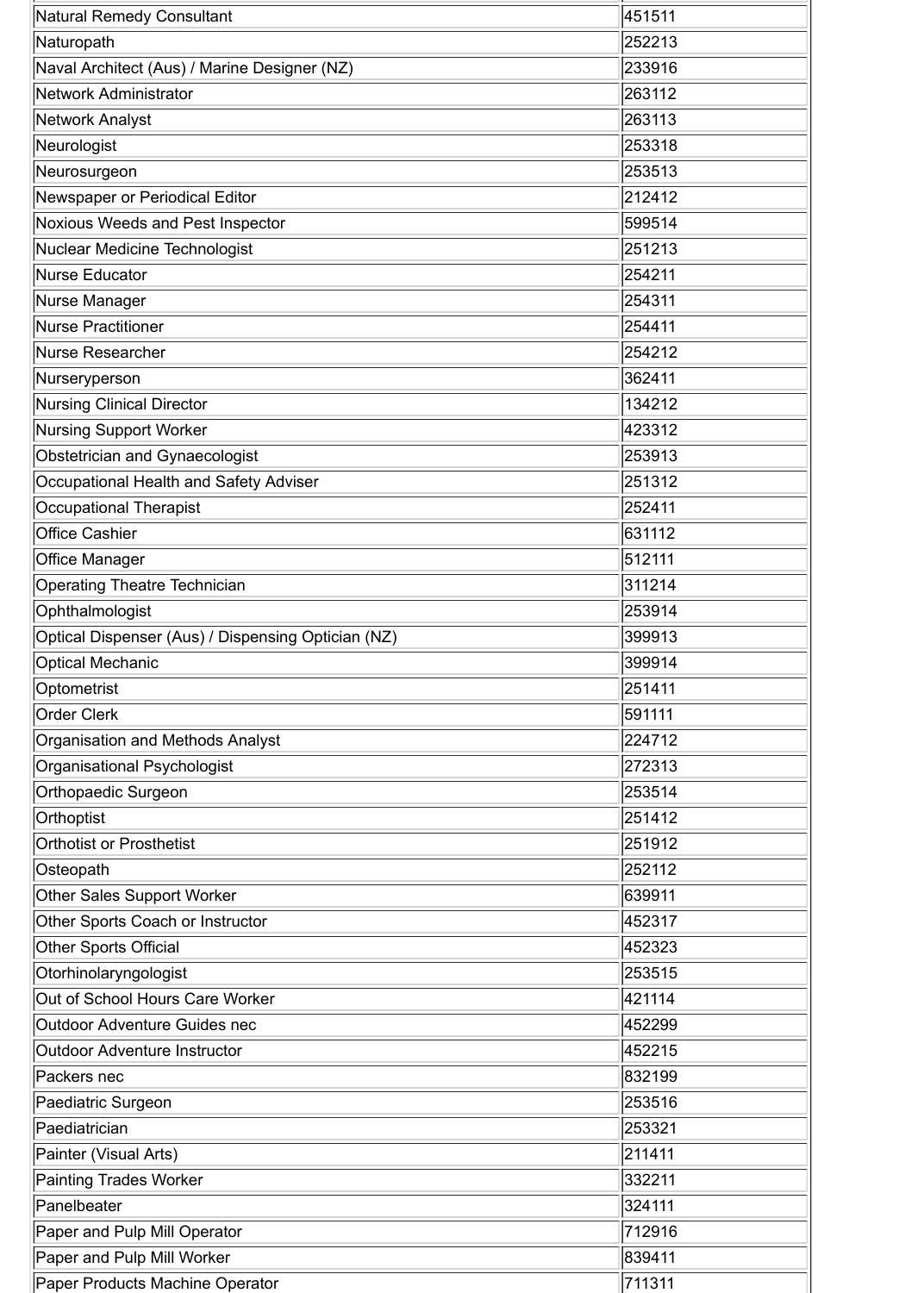| Natural Remedy Consultant                                     | 451511           |
|---------------------------------------------------------------|------------------|
| Naturopath                                                    | 252213           |
| Naval Architect (Aus) / Marine Designer (NZ)                  | 233916           |
| Network Administrator                                         | 263112           |
| Network Analyst                                               | 263113           |
| Neurologist                                                   | 253318           |
| Neurosurgeon                                                  | 253513           |
| Newspaper or Periodical Editor                                | 212412           |
| Noxious Weeds and Pest Inspector                              | 599514           |
| Nuclear Medicine Technologist                                 | 251213           |
| Nurse Educator                                                | 254211           |
| Nurse Manager                                                 | 254311           |
| <b>Nurse Practitioner</b>                                     | 254411           |
| Nurse Researcher                                              | 254212           |
| Nurseryperson                                                 | 362411           |
| <b>Nursing Clinical Director</b>                              | 134212           |
| <b>Nursing Support Worker</b>                                 | 423312           |
| Obstetrician and Gynaecologist                                | 253913           |
| Occupational Health and Safety Adviser                        | 251312           |
| <b>Occupational Therapist</b>                                 | 252411           |
| <b>Office Cashier</b>                                         | 631112           |
| Office Manager                                                | 512111           |
| <b>Operating Theatre Technician</b>                           | 311214           |
| Ophthalmologist                                               | 253914           |
| Optical Dispenser (Aus) / Dispensing Optician (NZ)            | 399913           |
| <b>Optical Mechanic</b>                                       | 399914           |
| Optometrist                                                   | 251411           |
| Order Clerk                                                   | 591111           |
| Organisation and Methods Analyst                              | 224712           |
| Organisational Psychologist                                   | 272313           |
| <b>Orthopaedic Surgeon</b>                                    | 253514           |
| Orthoptist                                                    | 251412           |
| <b>Orthotist or Prosthetist</b>                               | 251912           |
| Osteopath                                                     | 252112           |
| <b>Other Sales Support Worker</b>                             | 639911           |
| Other Sports Coach or Instructor                              | 452317           |
| Other Sports Official                                         | 452323           |
| Otorhinolaryngologist                                         | 253515           |
| Out of School Hours Care Worker                               | 421114           |
| Outdoor Adventure Guides nec                                  | 452299           |
| Outdoor Adventure Instructor                                  | 452215           |
| Packers nec                                                   | 832199           |
| Paediatric Surgeon                                            | 253516           |
| Paediatrician                                                 | 253321           |
| Painter (Visual Arts)                                         | 211411           |
| <b>Painting Trades Worker</b>                                 | 332211           |
| Panelbeater                                                   |                  |
|                                                               |                  |
|                                                               | 324111           |
| Paper and Pulp Mill Operator                                  | 712916           |
| Paper and Pulp Mill Worker<br>Paper Products Machine Operator | 839411<br>711311 |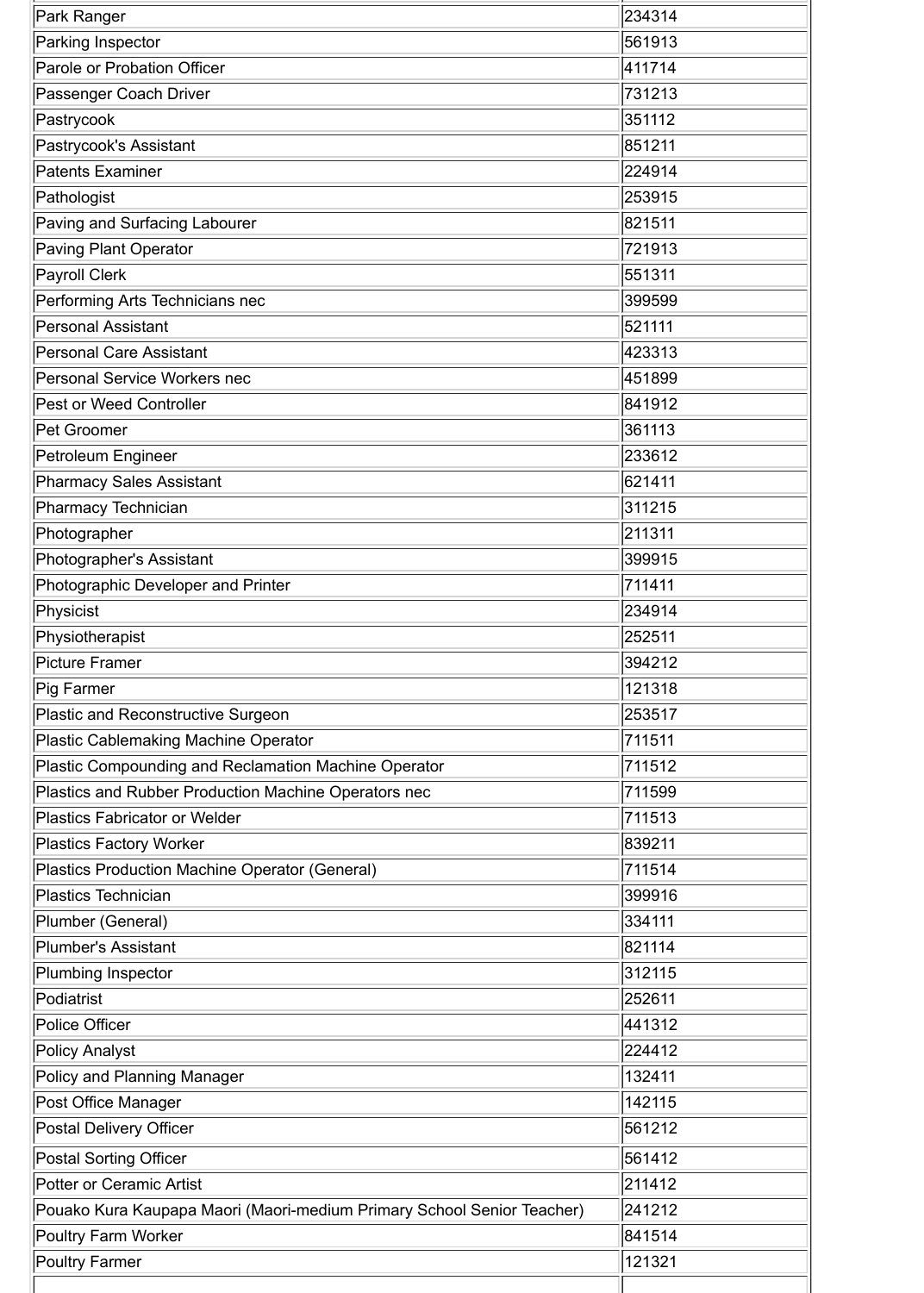| Park Ranger                                                            | 234314 |
|------------------------------------------------------------------------|--------|
| Parking Inspector                                                      | 561913 |
| Parole or Probation Officer                                            | 411714 |
| Passenger Coach Driver                                                 | 731213 |
| Pastrycook                                                             | 351112 |
| Pastrycook's Assistant                                                 | 851211 |
| <b>Patents Examiner</b>                                                | 224914 |
| Pathologist                                                            | 253915 |
| Paving and Surfacing Labourer                                          | 821511 |
| <b>Paving Plant Operator</b>                                           | 721913 |
| <b>Payroll Clerk</b>                                                   | 551311 |
| Performing Arts Technicians nec                                        | 399599 |
| <b>Personal Assistant</b>                                              | 521111 |
| <b>Personal Care Assistant</b>                                         | 423313 |
| <b>Personal Service Workers nec</b>                                    | 451899 |
| <b>Pest or Weed Controller</b>                                         | 841912 |
| Pet Groomer                                                            | 361113 |
| Petroleum Engineer                                                     | 233612 |
| <b>Pharmacy Sales Assistant</b>                                        | 621411 |
| <b>Pharmacy Technician</b>                                             | 311215 |
| Photographer                                                           | 211311 |
| Photographer's Assistant                                               | 399915 |
| Photographic Developer and Printer                                     | 711411 |
| Physicist                                                              | 234914 |
| Physiotherapist                                                        | 252511 |
| <b>Picture Framer</b>                                                  | 394212 |
| Pig Farmer                                                             | 121318 |
| Plastic and Reconstructive Surgeon                                     | 253517 |
| Plastic Cablemaking Machine Operator                                   | 711511 |
| Plastic Compounding and Reclamation Machine Operator                   | 711512 |
| Plastics and Rubber Production Machine Operators nec                   | 711599 |
| <b>Plastics Fabricator or Welder</b>                                   | 711513 |
| <b>Plastics Factory Worker</b>                                         | 839211 |
| Plastics Production Machine Operator (General)                         | 711514 |
| Plastics Technician                                                    | 399916 |
| Plumber (General)                                                      | 334111 |
| <b>Plumber's Assistant</b>                                             | 821114 |
| Plumbing Inspector                                                     | 312115 |
| Podiatrist                                                             | 252611 |
| Police Officer                                                         | 441312 |
| Policy Analyst                                                         | 224412 |
| Policy and Planning Manager                                            | 132411 |
| <b>Post Office Manager</b>                                             | 142115 |
| Postal Delivery Officer                                                | 561212 |
| Postal Sorting Officer                                                 | 561412 |
| <b>Potter or Ceramic Artist</b>                                        | 211412 |
| Pouako Kura Kaupapa Maori (Maori-medium Primary School Senior Teacher) | 241212 |
| <b>Poultry Farm Worker</b>                                             | 841514 |
| <b>Poultry Farmer</b>                                                  | 121321 |
|                                                                        |        |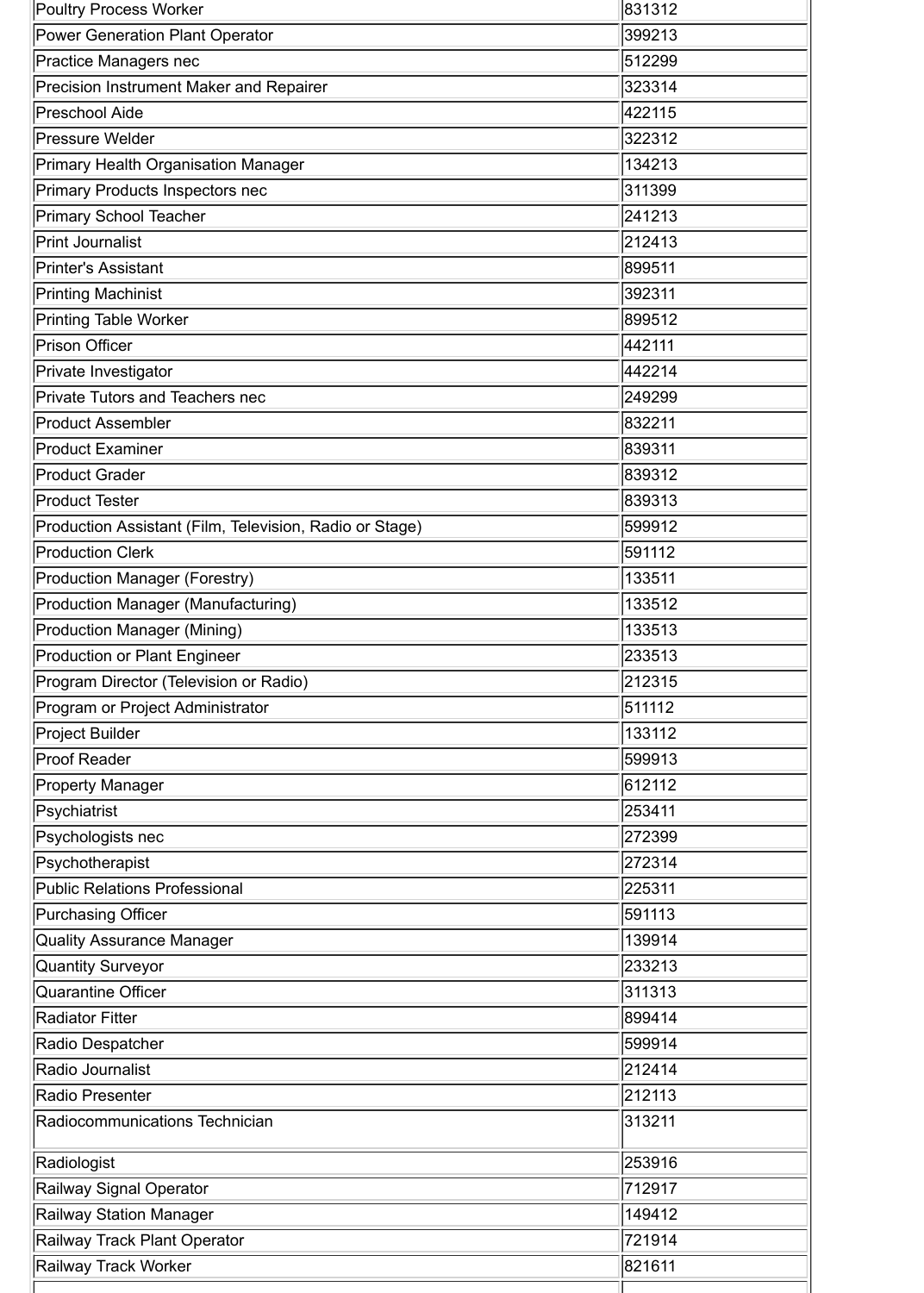| <b>Poultry Process Worker</b>                           | 831312 |
|---------------------------------------------------------|--------|
| <b>Power Generation Plant Operator</b>                  | 399213 |
| <b>Practice Managers nec</b>                            | 512299 |
| <b>Precision Instrument Maker and Repairer</b>          | 323314 |
| <b>Preschool Aide</b>                                   | 422115 |
| <b>Pressure Welder</b>                                  | 322312 |
| <b>Primary Health Organisation Manager</b>              | 134213 |
| Primary Products Inspectors nec                         | 311399 |
| <b>Primary School Teacher</b>                           | 241213 |
| <b>Print Journalist</b>                                 | 212413 |
| <b>Printer's Assistant</b>                              | 899511 |
| <b>Printing Machinist</b>                               | 392311 |
| <b>Printing Table Worker</b>                            | 899512 |
| <b>Prison Officer</b>                                   | 442111 |
| Private Investigator                                    | 442214 |
| <b>Private Tutors and Teachers nec</b>                  | 249299 |
| <b>Product Assembler</b>                                | 832211 |
| <b>Product Examiner</b>                                 | 839311 |
| <b>Product Grader</b>                                   | 839312 |
| <b>Product Tester</b>                                   | 839313 |
| Production Assistant (Film, Television, Radio or Stage) | 599912 |
| <b>Production Clerk</b>                                 | 591112 |
| <b>Production Manager (Forestry)</b>                    | 133511 |
| <b>Production Manager (Manufacturing)</b>               | 133512 |
| <b>Production Manager (Mining)</b>                      | 133513 |
| <b>Production or Plant Engineer</b>                     | 233513 |
| Program Director (Television or Radio)                  | 212315 |
| Program or Project Administrator                        | 511112 |
| <b>Project Builder</b>                                  | 133112 |
| <b>Proof Reader</b>                                     | 599913 |
| <b>Property Manager</b>                                 | 612112 |
| Psychiatrist                                            | 253411 |
| Psychologists nec                                       | 272399 |
| Psychotherapist                                         | 272314 |
| <b>Public Relations Professional</b>                    | 225311 |
| <b>Purchasing Officer</b>                               | 591113 |
| <b>Quality Assurance Manager</b>                        | 139914 |
| <b>Quantity Surveyor</b>                                | 233213 |
| <b>Quarantine Officer</b>                               | 311313 |
|                                                         | 899414 |
| <b>Radiator Fitter</b>                                  |        |
| Radio Despatcher                                        | 599914 |
| Radio Journalist                                        | 212414 |
| <b>Radio Presenter</b>                                  | 212113 |
| Radiocommunications Technician                          | 313211 |
| Radiologist                                             | 253916 |
| Railway Signal Operator                                 | 712917 |
| Railway Station Manager                                 | 149412 |
| Railway Track Plant Operator                            | 721914 |
| <b>Railway Track Worker</b>                             | 821611 |
|                                                         |        |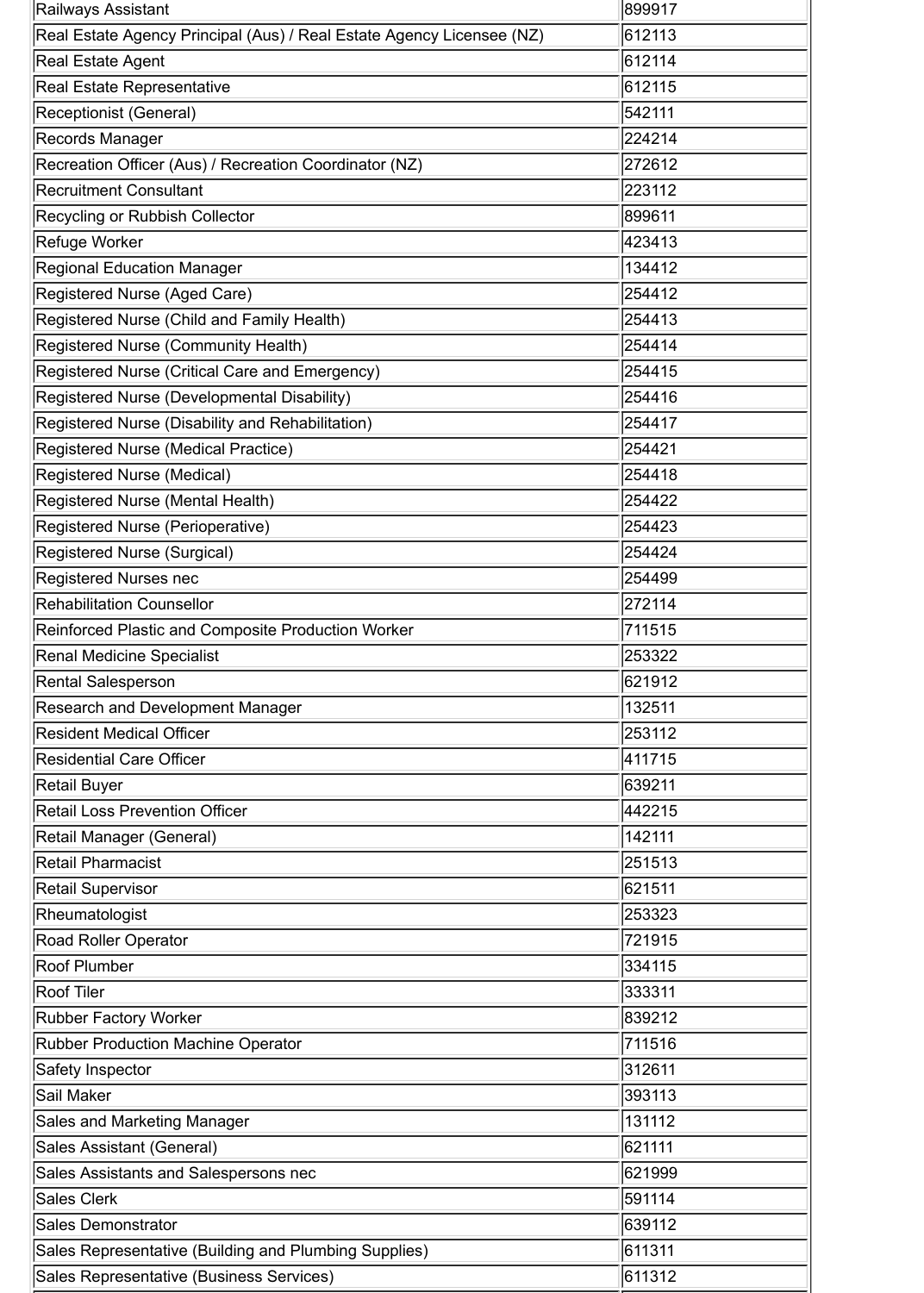| Railways Assistant                                                    | 899917 |
|-----------------------------------------------------------------------|--------|
| Real Estate Agency Principal (Aus) / Real Estate Agency Licensee (NZ) | 612113 |
| <b>Real Estate Agent</b>                                              | 612114 |
| <b>Real Estate Representative</b>                                     | 612115 |
| Receptionist (General)                                                | 542111 |
| <b>Records Manager</b>                                                | 224214 |
| Recreation Officer (Aus) / Recreation Coordinator (NZ)                | 272612 |
| <b>Recruitment Consultant</b>                                         | 223112 |
| <b>Recycling or Rubbish Collector</b>                                 | 899611 |
| Refuge Worker                                                         | 423413 |
| <b>Regional Education Manager</b>                                     | 134412 |
| Registered Nurse (Aged Care)                                          | 254412 |
| Registered Nurse (Child and Family Health)                            | 254413 |
| Registered Nurse (Community Health)                                   | 254414 |
| Registered Nurse (Critical Care and Emergency)                        | 254415 |
| Registered Nurse (Developmental Disability)                           | 254416 |
| Registered Nurse (Disability and Rehabilitation)                      | 254417 |
| Registered Nurse (Medical Practice)                                   | 254421 |
| <b>Registered Nurse (Medical)</b>                                     | 254418 |
| Registered Nurse (Mental Health)                                      | 254422 |
| Registered Nurse (Perioperative)                                      | 254423 |
| Registered Nurse (Surgical)                                           | 254424 |
| <b>Registered Nurses nec</b>                                          | 254499 |
| <b>Rehabilitation Counsellor</b>                                      | 272114 |
| Reinforced Plastic and Composite Production Worker                    | 711515 |
| <b>Renal Medicine Specialist</b>                                      | 253322 |
| <b>Rental Salesperson</b>                                             | 621912 |
| <b>Research and Development Manager</b>                               | 132511 |
| <b>Resident Medical Officer</b>                                       | 253112 |
| <b>Residential Care Officer</b>                                       | 411715 |
| <b>Retail Buyer</b>                                                   | 639211 |
| <b>Retail Loss Prevention Officer</b>                                 | 442215 |
|                                                                       | 142111 |
| Retail Manager (General)                                              |        |
| <b>Retail Pharmacist</b>                                              | 251513 |
| <b>Retail Supervisor</b>                                              | 621511 |
| Rheumatologist                                                        | 253323 |
| <b>Road Roller Operator</b>                                           | 721915 |
| <b>Roof Plumber</b>                                                   | 334115 |
| <b>Roof Tiler</b>                                                     | 333311 |
| <b>Rubber Factory Worker</b>                                          | 839212 |
| <b>Rubber Production Machine Operator</b>                             | 711516 |
| Safety Inspector                                                      | 312611 |
| Sail Maker                                                            | 393113 |
| Sales and Marketing Manager                                           | 131112 |
| <b>Sales Assistant (General)</b>                                      | 621111 |
| Sales Assistants and Salespersons nec                                 | 621999 |
| <b>Sales Clerk</b>                                                    | 591114 |
| <b>Sales Demonstrator</b>                                             | 639112 |
| Sales Representative (Building and Plumbing Supplies)                 | 611311 |
| Sales Representative (Business Services)                              | 611312 |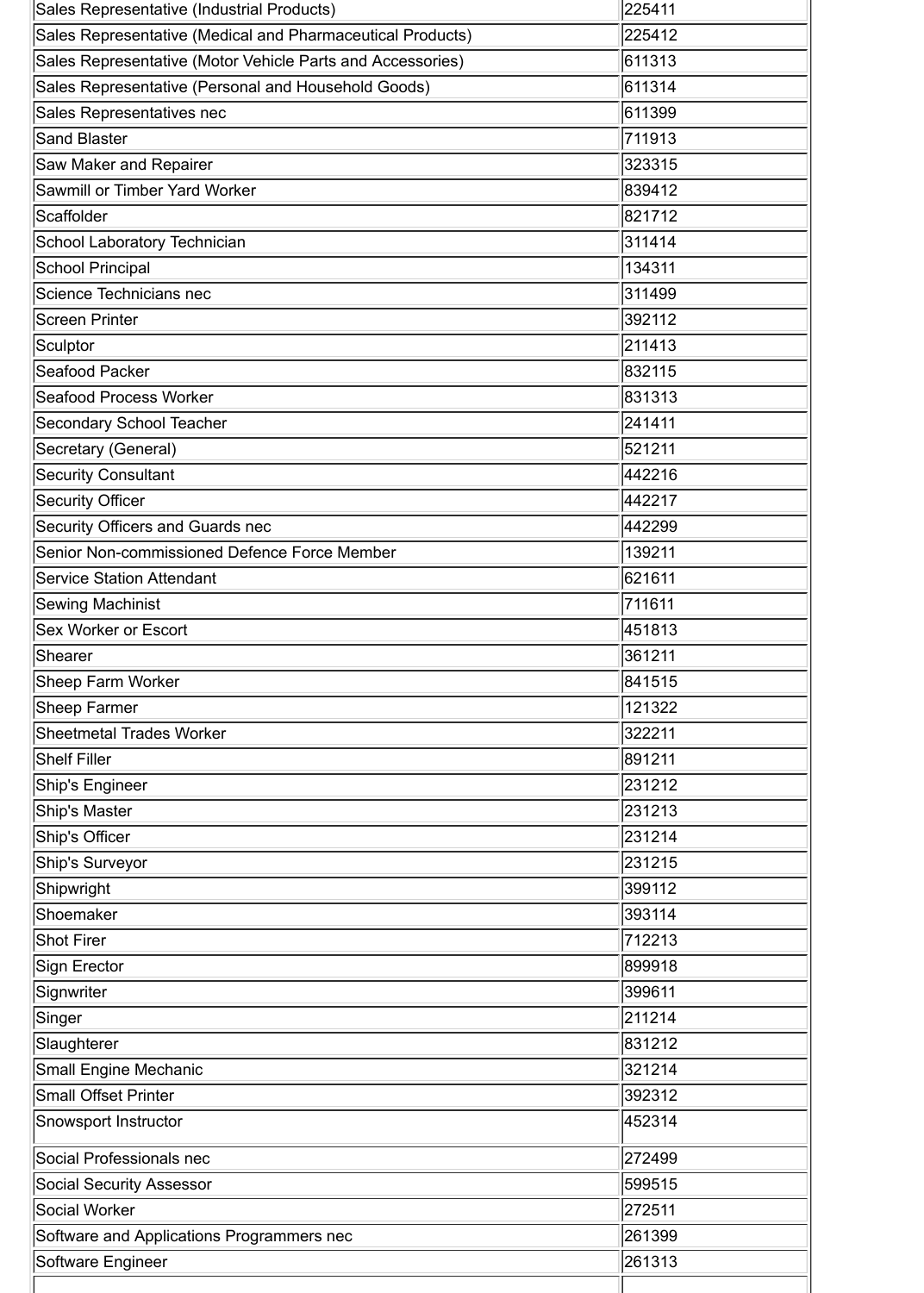| Sales Representative (Industrial Products)                 | 225411 |
|------------------------------------------------------------|--------|
| Sales Representative (Medical and Pharmaceutical Products) | 225412 |
| Sales Representative (Motor Vehicle Parts and Accessories) | 611313 |
| Sales Representative (Personal and Household Goods)        | 611314 |
| Sales Representatives nec                                  | 611399 |
| <b>Sand Blaster</b>                                        | 711913 |
| <b>Saw Maker and Repairer</b>                              | 323315 |
| Sawmill or Timber Yard Worker                              | 839412 |
| Scaffolder                                                 | 821712 |
| School Laboratory Technician                               | 311414 |
| <b>School Principal</b>                                    | 134311 |
| Science Technicians nec                                    | 311499 |
| <b>Screen Printer</b>                                      | 392112 |
| <b>Sculptor</b>                                            | 211413 |
| Seafood Packer                                             | 832115 |
| <b>Seafood Process Worker</b>                              | 831313 |
| <b>Secondary School Teacher</b>                            | 241411 |
| Secretary (General)                                        | 521211 |
| <b>Security Consultant</b>                                 | 442216 |
| <b>Security Officer</b>                                    | 442217 |
| Security Officers and Guards nec                           | 442299 |
| Senior Non-commissioned Defence Force Member               | 139211 |
| <b>Service Station Attendant</b>                           | 621611 |
| <b>Sewing Machinist</b>                                    | 711611 |
| <b>Sex Worker or Escort</b>                                | 451813 |
| <b>Shearer</b>                                             | 361211 |
| <b>Sheep Farm Worker</b>                                   | 841515 |
| <b>Sheep Farmer</b>                                        | 121322 |
| <b>Sheetmetal Trades Worker</b>                            | 322211 |
| <b>Shelf Filler</b>                                        | 891211 |
| <b>Ship's Engineer</b>                                     | 231212 |
| <b>Ship's Master</b>                                       | 231213 |
| Ship's Officer                                             | 231214 |
| <b>Ship's Surveyor</b>                                     | 231215 |
| Shipwright                                                 | 399112 |
| Shoemaker                                                  | 393114 |
| <b>Shot Firer</b>                                          | 712213 |
| <b>Sign Erector</b>                                        | 899918 |
| Signwriter                                                 | 399611 |
| Singer                                                     | 211214 |
| Slaughterer                                                | 831212 |
| Small Engine Mechanic                                      | 321214 |
| <b>Small Offset Printer</b>                                | 392312 |
| Snowsport Instructor                                       | 452314 |
| Social Professionals nec                                   | 272499 |
| <b>Social Security Assessor</b>                            | 599515 |
| Social Worker                                              | 272511 |
| Software and Applications Programmers nec                  | 261399 |
| Software Engineer                                          | 261313 |
|                                                            |        |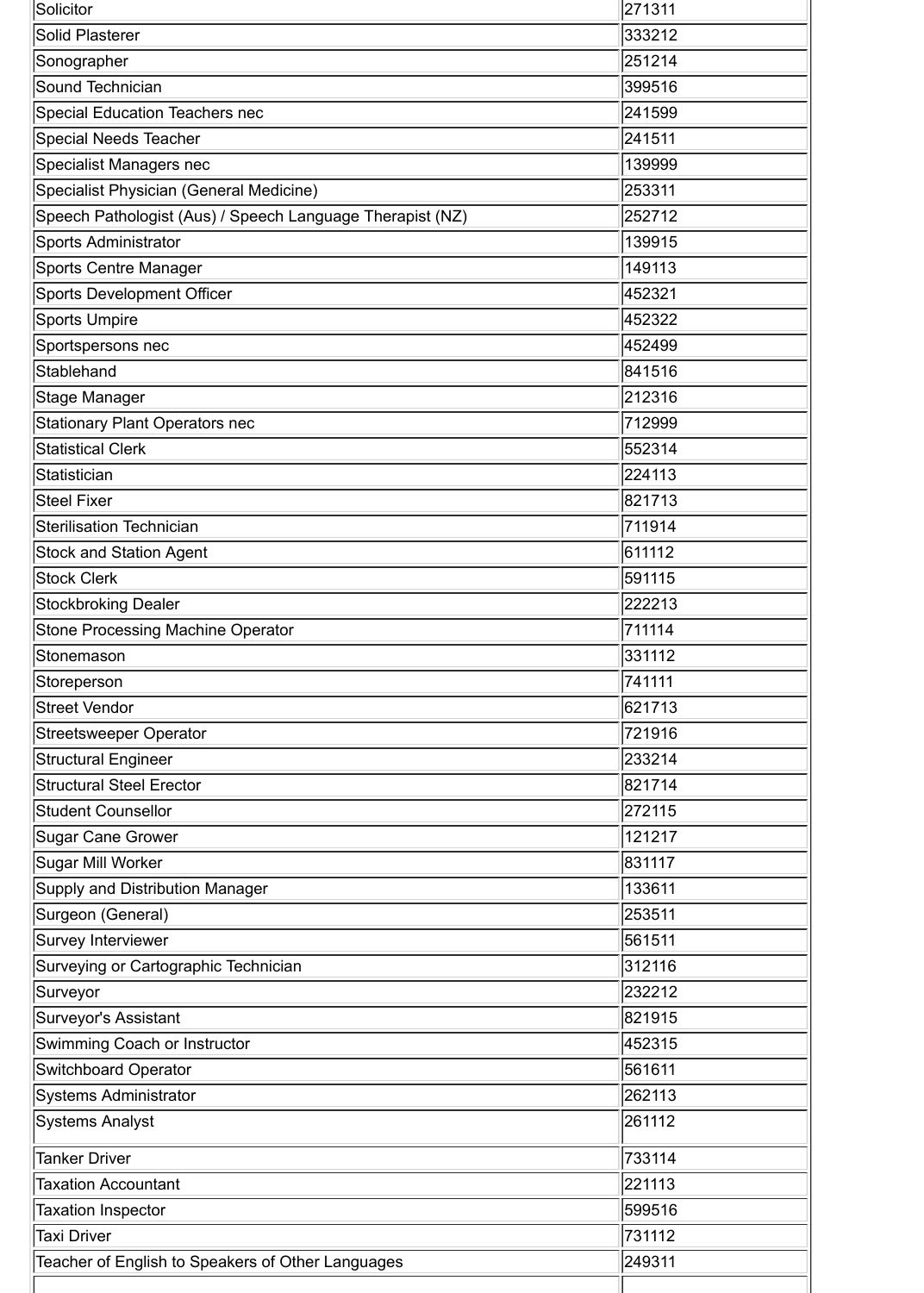| Solicitor                                                 | 271311 |
|-----------------------------------------------------------|--------|
| Solid Plasterer                                           | 333212 |
| Sonographer                                               | 251214 |
| Sound Technician                                          | 399516 |
| Special Education Teachers nec                            | 241599 |
| <b>Special Needs Teacher</b>                              | 241511 |
| Specialist Managers nec                                   | 139999 |
| Specialist Physician (General Medicine)                   | 253311 |
| Speech Pathologist (Aus) / Speech Language Therapist (NZ) | 252712 |
| Sports Administrator                                      | 139915 |
| Sports Centre Manager                                     | 149113 |
| <b>Sports Development Officer</b>                         | 452321 |
| Sports Umpire                                             | 452322 |
| Sportspersons nec                                         | 452499 |
| Stablehand                                                | 841516 |
| Stage Manager                                             | 212316 |
| <b>Stationary Plant Operators nec</b>                     | 712999 |
| <b>Statistical Clerk</b>                                  | 552314 |
| Statistician                                              | 224113 |
| <b>Steel Fixer</b>                                        | 821713 |
| <b>Sterilisation Technician</b>                           | 711914 |
| <b>Stock and Station Agent</b>                            | 611112 |
| <b>Stock Clerk</b>                                        | 591115 |
| <b>Stockbroking Dealer</b>                                | 222213 |
| <b>Stone Processing Machine Operator</b>                  | 711114 |
| Stonemason                                                | 331112 |
| Storeperson                                               | 741111 |
| <b>Street Vendor</b>                                      | 621713 |
| <b>Streetsweeper Operator</b>                             | 721916 |
| <b>Structural Engineer</b>                                | 233214 |
| <b>Structural Steel Erector</b>                           | 821714 |
| <b>Student Counsellor</b>                                 | 272115 |
| Sugar Cane Grower                                         | 121217 |
| Sugar Mill Worker                                         | 831117 |
| Supply and Distribution Manager                           | 133611 |
| Surgeon (General)                                         | 253511 |
| Survey Interviewer                                        | 561511 |
| Surveying or Cartographic Technician                      | 312116 |
| Surveyor                                                  | 232212 |
| Surveyor's Assistant                                      | 821915 |
| Swimming Coach or Instructor                              | 452315 |
| <b>Switchboard Operator</b>                               | 561611 |
| <b>Systems Administrator</b>                              | 262113 |
| <b>Systems Analyst</b>                                    | 261112 |
| Tanker Driver                                             | 733114 |
| <b>Taxation Accountant</b>                                | 221113 |
| <b>Taxation Inspector</b>                                 | 599516 |
| Taxi Driver                                               | 731112 |
| Teacher of English to Speakers of Other Languages         | 249311 |
|                                                           |        |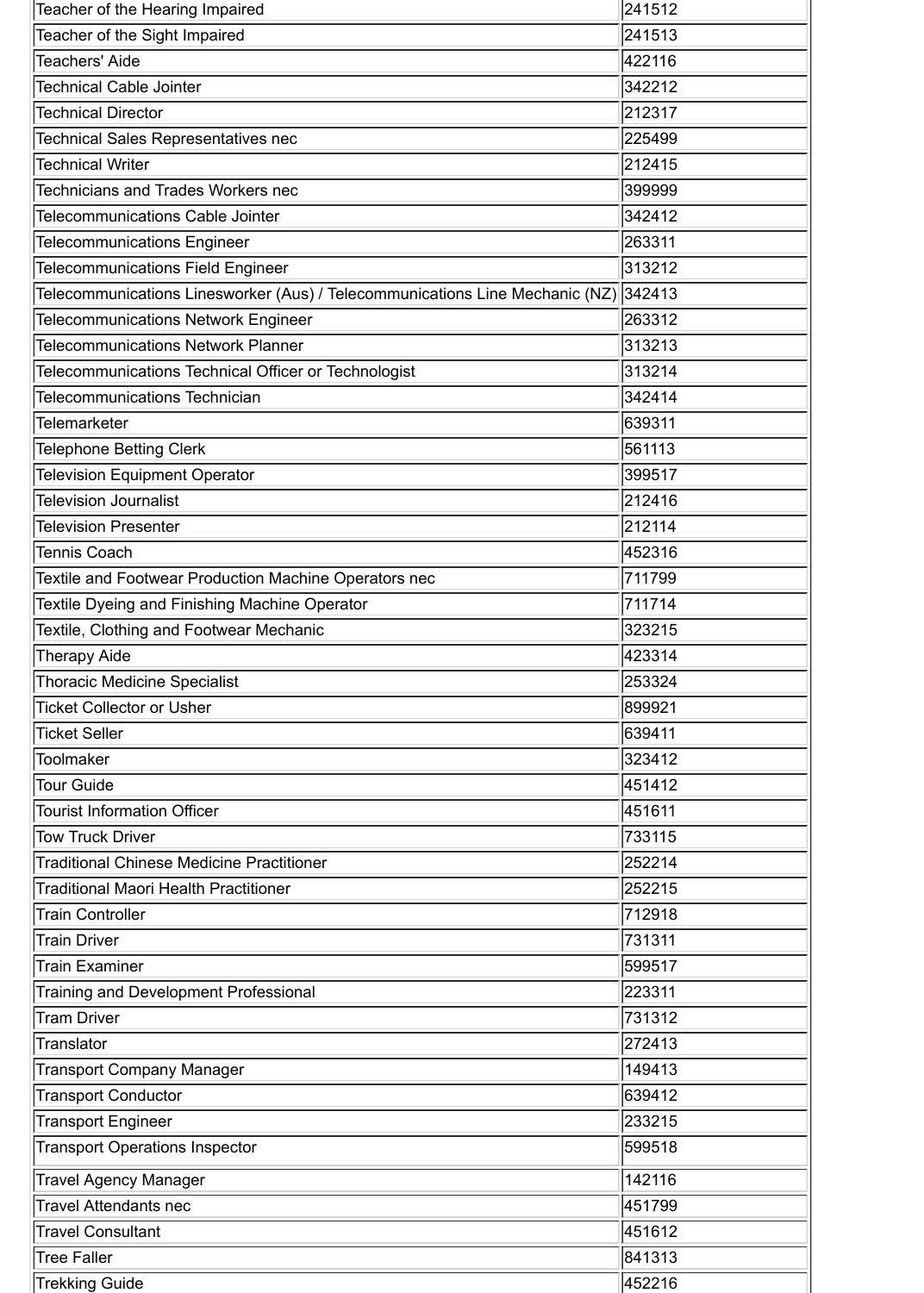| Teacher of the Hearing Impaired                                              | 241512 |
|------------------------------------------------------------------------------|--------|
| Teacher of the Sight Impaired                                                | 241513 |
| <b>Teachers' Aide</b>                                                        | 422116 |
| <b>Technical Cable Jointer</b>                                               | 342212 |
| <b>Technical Director</b>                                                    | 212317 |
| <b>Technical Sales Representatives nec</b>                                   | 225499 |
| <b>Technical Writer</b>                                                      | 212415 |
| <b>Technicians and Trades Workers nec</b>                                    | 399999 |
| <b>Telecommunications Cable Jointer</b>                                      | 342412 |
| <b>Telecommunications Engineer</b>                                           | 263311 |
| <b>Telecommunications Field Engineer</b>                                     | 313212 |
| Telecommunications Linesworker (Aus) / Telecommunications Line Mechanic (NZ) | 342413 |
| <b>Telecommunications Network Engineer</b>                                   | 263312 |
| <b>Telecommunications Network Planner</b>                                    | 313213 |
| Telecommunications Technical Officer or Technologist                         | 313214 |
| <b>Telecommunications Technician</b>                                         | 342414 |
| <b>Telemarketer</b>                                                          | 639311 |
| <b>Telephone Betting Clerk</b>                                               | 561113 |
| <b>Television Equipment Operator</b>                                         | 399517 |
| <b>Television Journalist</b>                                                 | 212416 |
| <b>Television Presenter</b>                                                  | 212114 |
| Tennis Coach                                                                 | 452316 |
| Textile and Footwear Production Machine Operators nec                        | 711799 |
| Textile Dyeing and Finishing Machine Operator                                | 711714 |
| Textile, Clothing and Footwear Mechanic                                      | 323215 |
| <b>Therapy Aide</b>                                                          | 423314 |
| <b>Thoracic Medicine Specialist</b>                                          | 253324 |
| <b>Ticket Collector or Usher</b>                                             | 899921 |
| <b>Ticket Seller</b>                                                         | 639411 |
| <b>Toolmaker</b>                                                             | 323412 |
| <b>Tour Guide</b>                                                            | 451412 |
| <b>Tourist Information Officer</b>                                           | 451611 |
| <b>Tow Truck Driver</b>                                                      | 733115 |
| <b>Traditional Chinese Medicine Practitioner</b>                             | 252214 |
| <b>Traditional Maori Health Practitioner</b>                                 | 252215 |
| <b>Train Controller</b>                                                      | 712918 |
| <b>Train Driver</b>                                                          | 731311 |
| Train Examiner                                                               | 599517 |
| <b>Training and Development Professional</b>                                 | 223311 |
| <b>Tram Driver</b>                                                           | 731312 |
| <b>Translator</b>                                                            | 272413 |
| <b>Transport Company Manager</b>                                             | 149413 |
|                                                                              | 639412 |
| <b>Transport Conductor</b>                                                   |        |
| <b>Transport Engineer</b>                                                    | 233215 |
| <b>Transport Operations Inspector</b>                                        | 599518 |
| <b>Travel Agency Manager</b>                                                 | 142116 |
| <b>Travel Attendants nec</b>                                                 | 451799 |
| <b>Travel Consultant</b>                                                     | 451612 |
| <b>Tree Faller</b>                                                           | 841313 |
| <b>Trekking Guide</b>                                                        | 452216 |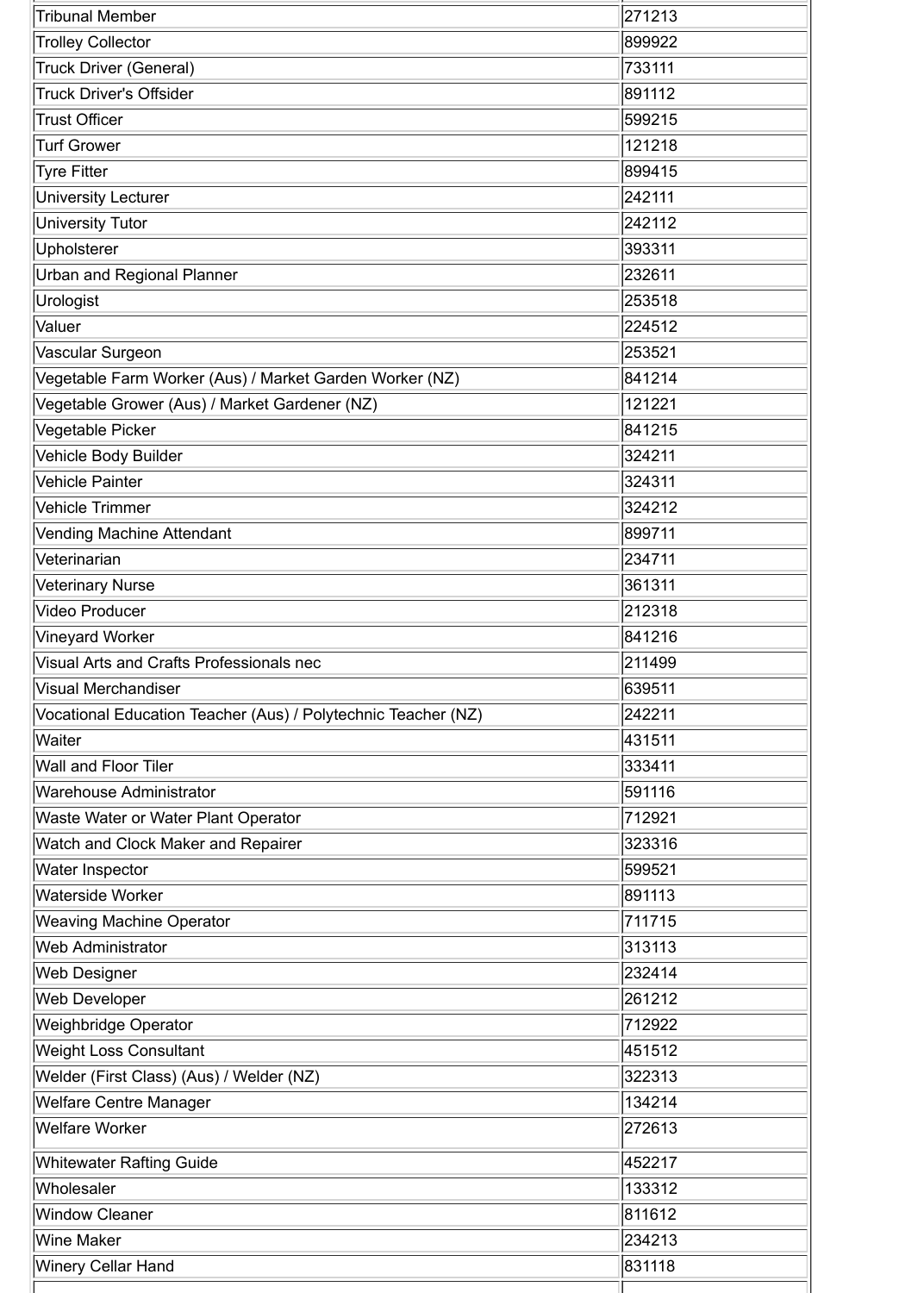| <b>Tribunal Member</b>                                        | 271213 |
|---------------------------------------------------------------|--------|
| <b>Trolley Collector</b>                                      | 899922 |
| Truck Driver (General)                                        | 733111 |
| <b>Truck Driver's Offsider</b>                                | 891112 |
| Trust Officer                                                 | 599215 |
| Turf Grower                                                   | 121218 |
| Tyre Fitter                                                   | 899415 |
| University Lecturer                                           | 242111 |
| University Tutor                                              | 242112 |
| Upholsterer                                                   | 393311 |
| <b>Urban and Regional Planner</b>                             | 232611 |
| Urologist                                                     | 253518 |
| Valuer                                                        | 224512 |
| Vascular Surgeon                                              | 253521 |
| Vegetable Farm Worker (Aus) / Market Garden Worker (NZ)       | 841214 |
| Vegetable Grower (Aus) / Market Gardener (NZ)                 | 121221 |
| Vegetable Picker                                              | 841215 |
| Vehicle Body Builder                                          | 324211 |
| Vehicle Painter                                               | 324311 |
| Vehicle Trimmer                                               | 324212 |
| Vending Machine Attendant                                     | 899711 |
| Veterinarian                                                  | 234711 |
| Veterinary Nurse                                              | 361311 |
| <b>Video Producer</b>                                         | 212318 |
| Vineyard Worker                                               | 841216 |
| Visual Arts and Crafts Professionals nec                      | 211499 |
| Visual Merchandiser                                           | 639511 |
| Vocational Education Teacher (Aus) / Polytechnic Teacher (NZ) | 242211 |
| Waiter                                                        | 431511 |
| <b>Wall and Floor Tiler</b>                                   | 333411 |
| <b>Warehouse Administrator</b>                                | 591116 |
| <b>Waste Water or Water Plant Operator</b>                    | 712921 |
| Watch and Clock Maker and Repairer                            | 323316 |
| Water Inspector                                               | 599521 |
| Waterside Worker                                              | 891113 |
| <b>Weaving Machine Operator</b>                               | 711715 |
| <b>Web Administrator</b>                                      | 313113 |
| Web Designer                                                  | 232414 |
| <b>Web Developer</b>                                          | 261212 |
| <b>Weighbridge Operator</b>                                   | 712922 |
| <b>Weight Loss Consultant</b>                                 | 451512 |
| Welder (First Class) (Aus) / Welder (NZ)                      | 322313 |
| <b>Welfare Centre Manager</b>                                 | 134214 |
| <b>Welfare Worker</b>                                         | 272613 |
| <b>Whitewater Rafting Guide</b>                               | 452217 |
| Wholesaler                                                    | 133312 |
| Window Cleaner                                                | 811612 |
| Wine Maker                                                    | 234213 |
| <b>Winery Cellar Hand</b>                                     | 831118 |
|                                                               |        |